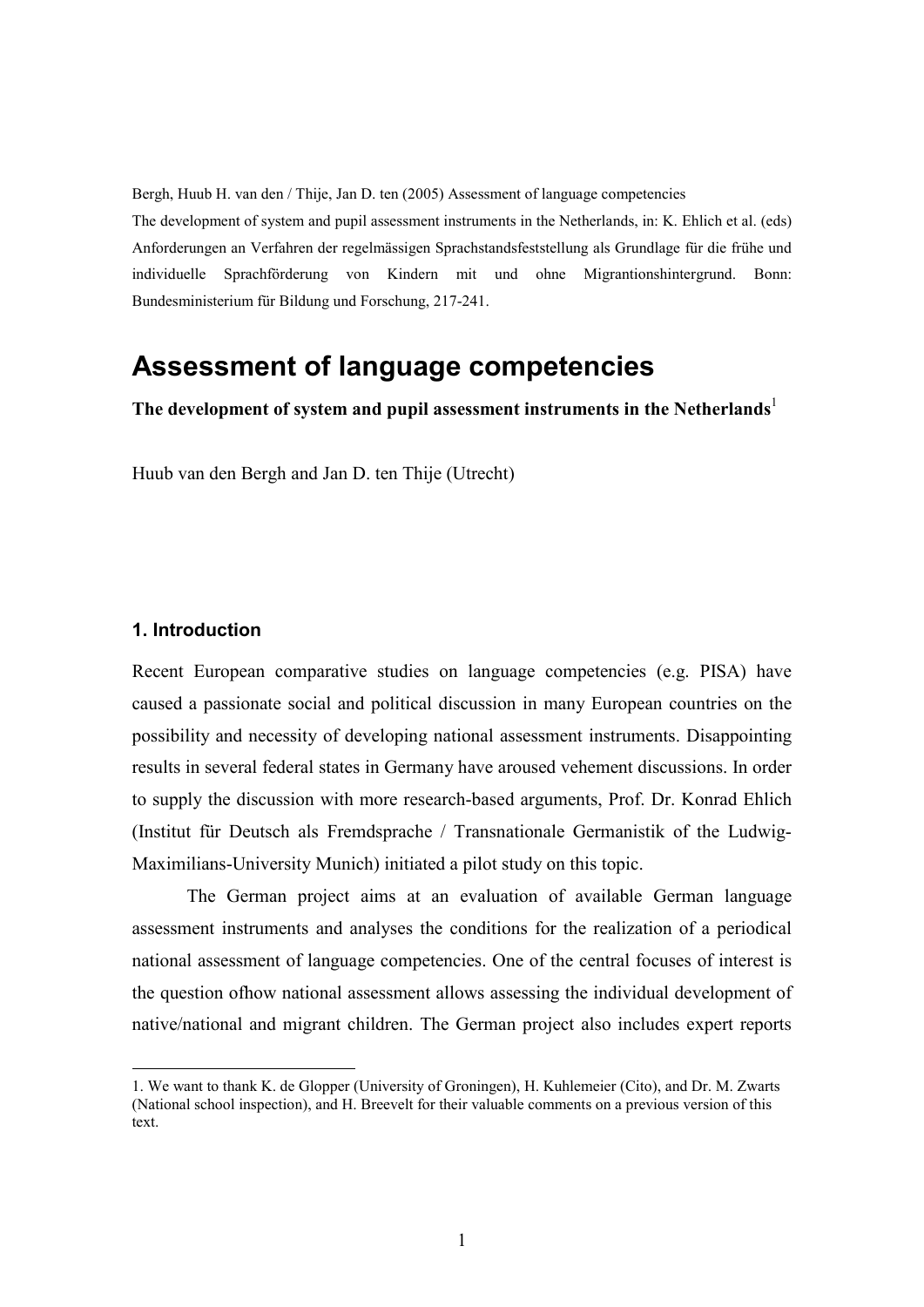Bergh, Huub H. van den / Thije, Jan D. ten (2005) Assessment of language competencies

The development of system and pupil assessment instruments in the Netherlands, in: K. Ehlich et al. (eds) Anforderungen an Verfahren der regelmässigen Sprachstandsfeststellung als Grundlage für die frühe und individuelle Sprachförderung von Kindern mit und ohne Migrantionshintergrund. Bonn: Bundesministerium für Bildung und Forschung, 217-241.

# Assessment of language competencies

The development of system and pupil assessment instruments in the Netherlands<sup>1</sup>

Huub van den Bergh and Jan D. ten Thije (Utrecht)

## 1. Introduction

<u>.</u>

Recent European comparative studies on language competencies (e.g. PISA) have caused a passionate social and political discussion in many European countries on the possibility and necessity of developing national assessment instruments. Disappointing results in several federal states in Germany have aroused vehement discussions. In order to supply the discussion with more research-based arguments, Prof. Dr. Konrad Ehlich (Institut für Deutsch als Fremdsprache / Transnationale Germanistik of the Ludwig-Maximilians-University Munich) initiated a pilot study on this topic.

The German project aims at an evaluation of available German language assessment instruments and analyses the conditions for the realization of a periodical national assessment of language competencies. One of the central focuses of interest is the question ofhow national assessment allows assessing the individual development of native/national and migrant children. The German project also includes expert reports

<sup>1.</sup> We want to thank K. de Glopper (University of Groningen), H. Kuhlemeier (Cito), and Dr. M. Zwarts (National school inspection), and H. Breevelt for their valuable comments on a previous version of this text.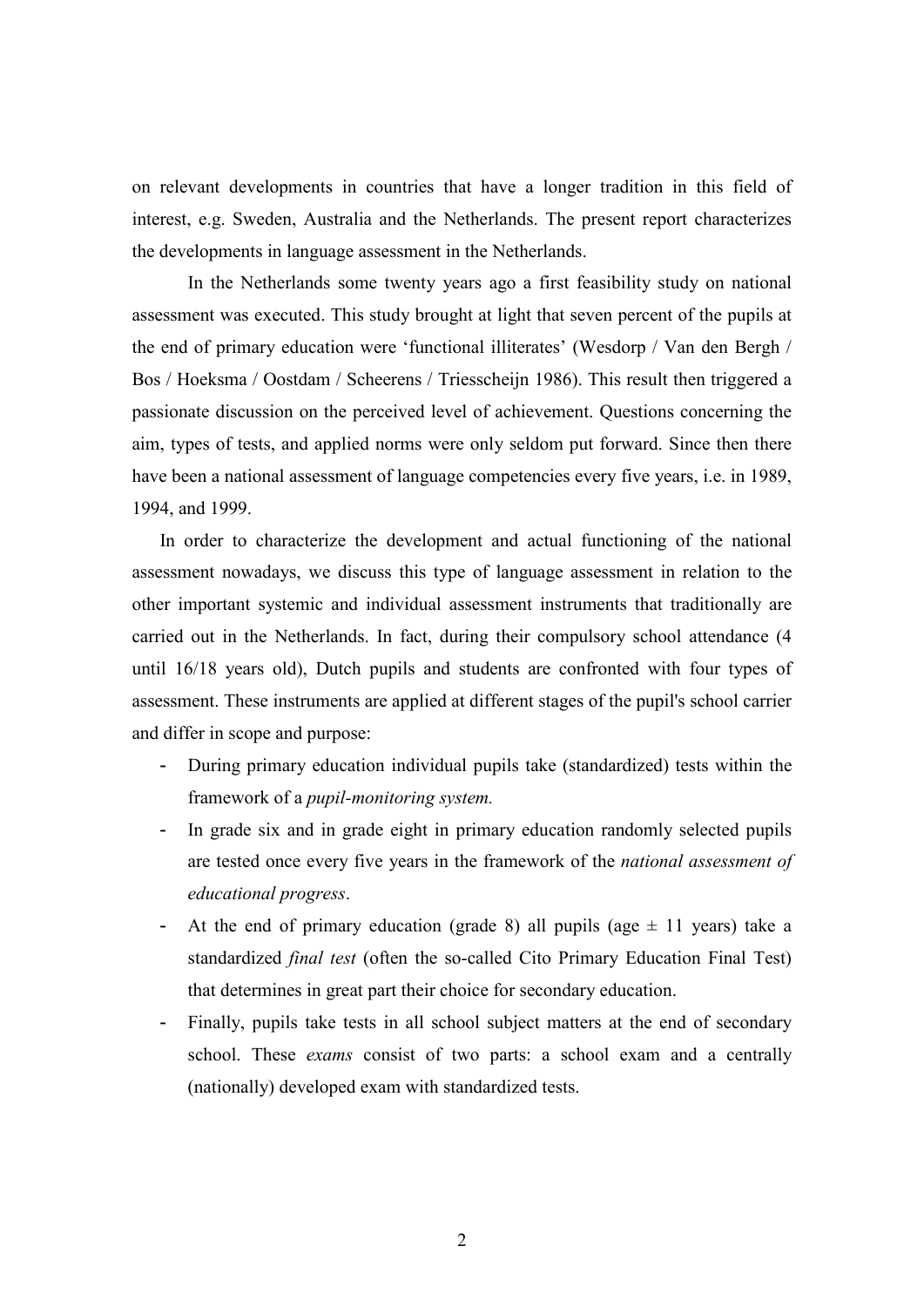on relevant developments in countries that have a longer tradition in this field of interest, e.g. Sweden, Australia and the Netherlands. The present report characterizes the developments in language assessment in the Netherlands.

In the Netherlands some twenty years ago a first feasibility study on national assessment was executed. This study brought at light that seven percent of the pupils at the end of primary education were 'functional illiterates' (Wesdorp / Van den Bergh / Bos / Hoeksma / Oostdam / Scheerens / Triesscheijn 1986). This result then triggered a passionate discussion on the perceived level of achievement. Questions concerning the aim, types of tests, and applied norms were only seldom put forward. Since then there have been a national assessment of language competencies every five years, i.e. in 1989, 1994, and 1999.

In order to characterize the development and actual functioning of the national assessment nowadays, we discuss this type of language assessment in relation to the other important systemic and individual assessment instruments that traditionally are carried out in the Netherlands. In fact, during their compulsory school attendance (4 until 16/18 years old), Dutch pupils and students are confronted with four types of assessment. These instruments are applied at different stages of the pupil's school carrier and differ in scope and purpose:

- During primary education individual pupils take (standardized) tests within the framework of a pupil-monitoring system.
- In grade six and in grade eight in primary education randomly selected pupils are tested once every five years in the framework of the national assessment of educational progress.
- At the end of primary education (grade 8) all pupils (age  $\pm$  11 years) take a standardized final test (often the so-called Cito Primary Education Final Test) that determines in great part their choice for secondary education.
- Finally, pupils take tests in all school subject matters at the end of secondary school. These exams consist of two parts: a school exam and a centrally (nationally) developed exam with standardized tests.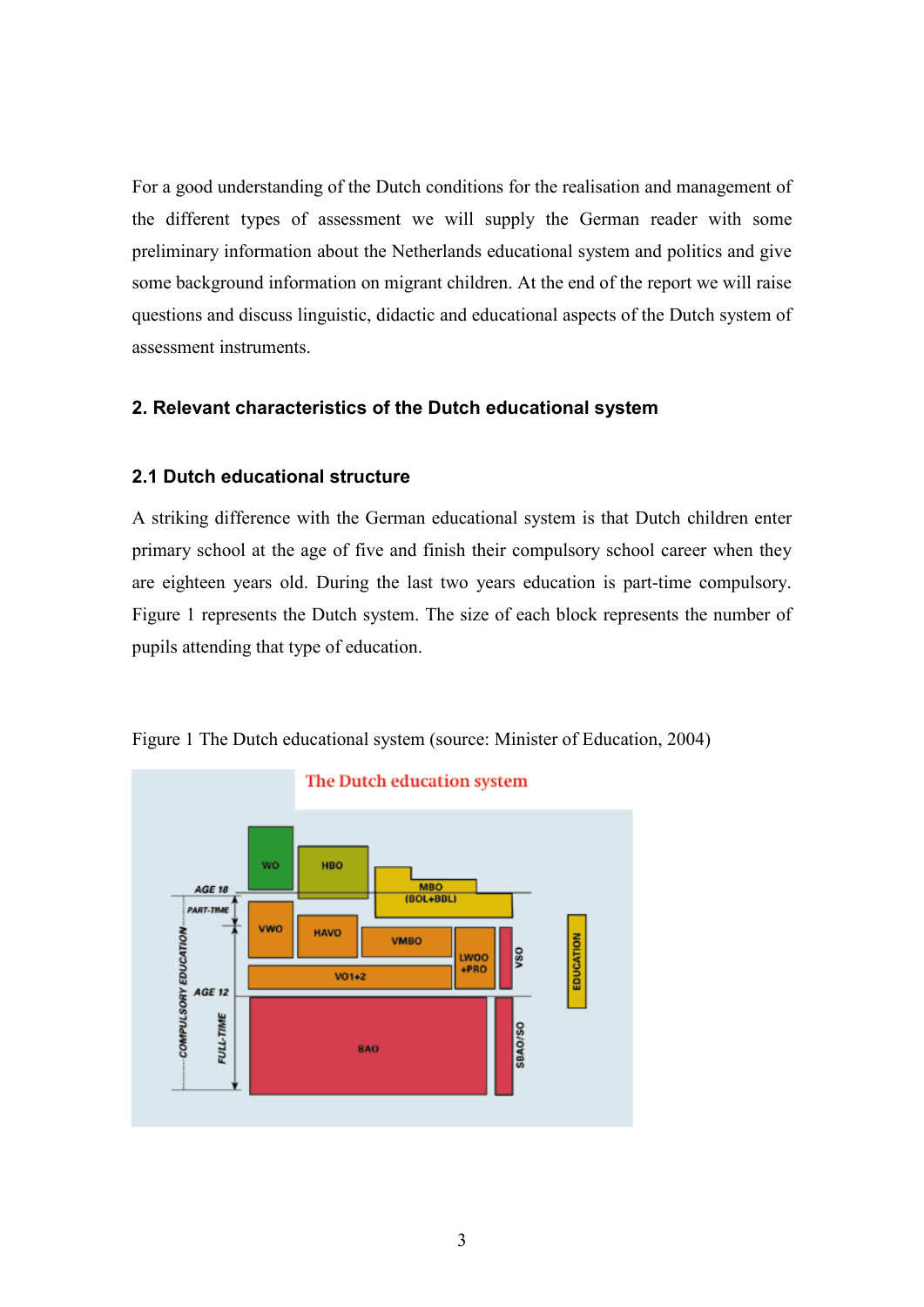For a good understanding of the Dutch conditions for the realisation and management of the different types of assessment we will supply the German reader with some preliminary information about the Netherlands educational system and politics and give some background information on migrant children. At the end of the report we will raise questions and discuss linguistic, didactic and educational aspects of the Dutch system of assessment instruments.

# 2. Relevant characteristics of the Dutch educational system

# 2.1 Dutch educational structure

A striking difference with the German educational system is that Dutch children enter primary school at the age of five and finish their compulsory school career when they are eighteen years old. During the last two years education is part-time compulsory. Figure 1 represents the Dutch system. The size of each block represents the number of pupils attending that type of education.



Figure 1 The Dutch educational system (source: Minister of Education, 2004)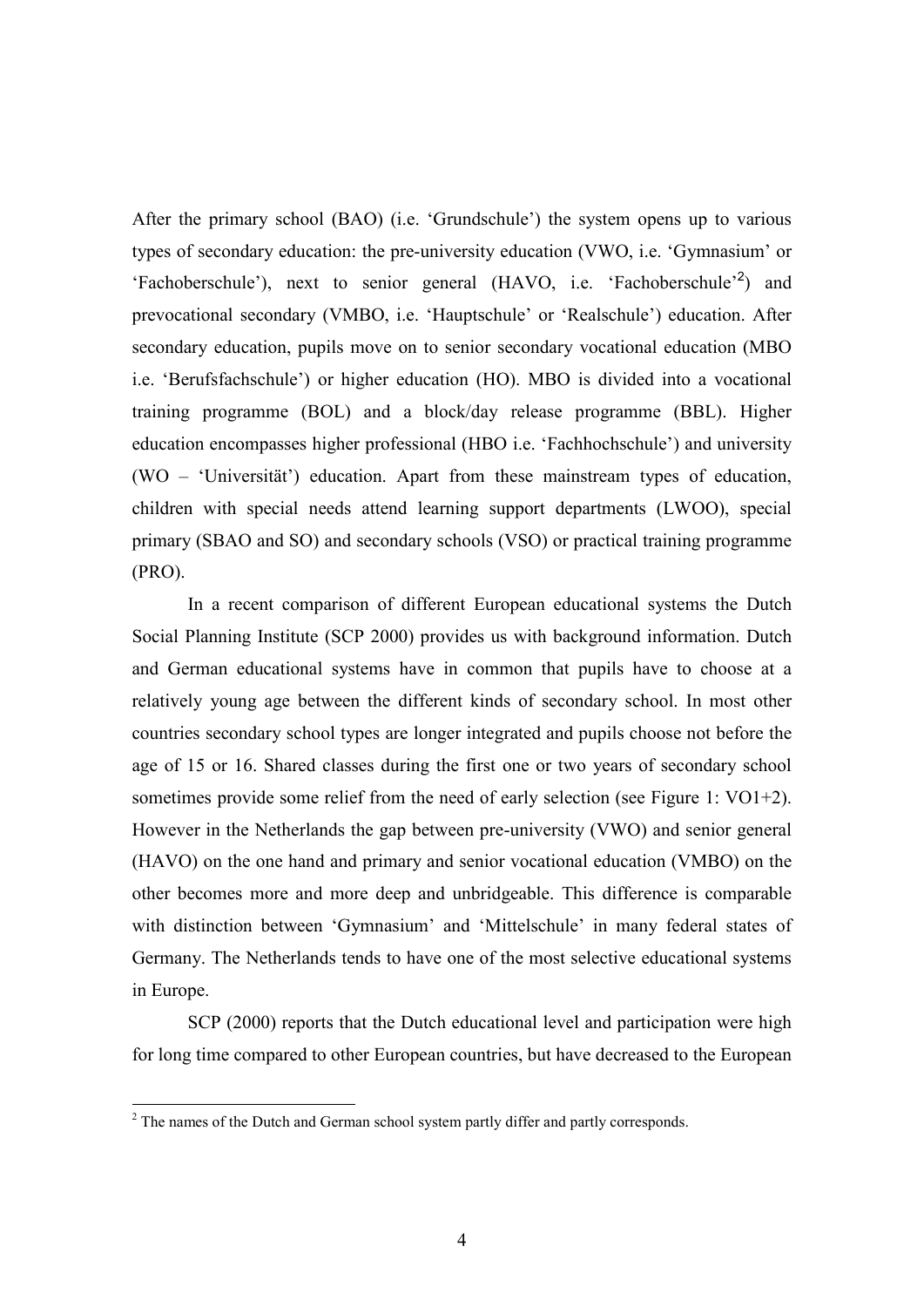After the primary school (BAO) (i.e. 'Grundschule') the system opens up to various types of secondary education: the pre-university education (VWO, i.e. 'Gymnasium' or 'Fachoberschule'), next to senior general (HAVO, i.e. 'Fachoberschule'<sup>2</sup>) and prevocational secondary (VMBO, i.e. 'Hauptschule' or 'Realschule') education. After secondary education, pupils move on to senior secondary vocational education (MBO i.e. 'Berufsfachschule') or higher education (HO). MBO is divided into a vocational training programme (BOL) and a block/day release programme (BBL). Higher education encompasses higher professional (HBO i.e. 'Fachhochschule') and university (WO – 'Universität') education. Apart from these mainstream types of education, children with special needs attend learning support departments (LWOO), special primary (SBAO and SO) and secondary schools (VSO) or practical training programme (PRO).

In a recent comparison of different European educational systems the Dutch Social Planning Institute (SCP 2000) provides us with background information. Dutch and German educational systems have in common that pupils have to choose at a relatively young age between the different kinds of secondary school. In most other countries secondary school types are longer integrated and pupils choose not before the age of 15 or 16. Shared classes during the first one or two years of secondary school sometimes provide some relief from the need of early selection (see Figure 1: VO1+2). However in the Netherlands the gap between pre-university (VWO) and senior general (HAVO) on the one hand and primary and senior vocational education (VMBO) on the other becomes more and more deep and unbridgeable. This difference is comparable with distinction between 'Gymnasium' and 'Mittelschule' in many federal states of Germany. The Netherlands tends to have one of the most selective educational systems in Europe.

SCP (2000) reports that the Dutch educational level and participation were high for long time compared to other European countries, but have decreased to the European

<sup>&</sup>lt;sup>2</sup> The names of the Dutch and German school system partly differ and partly corresponds.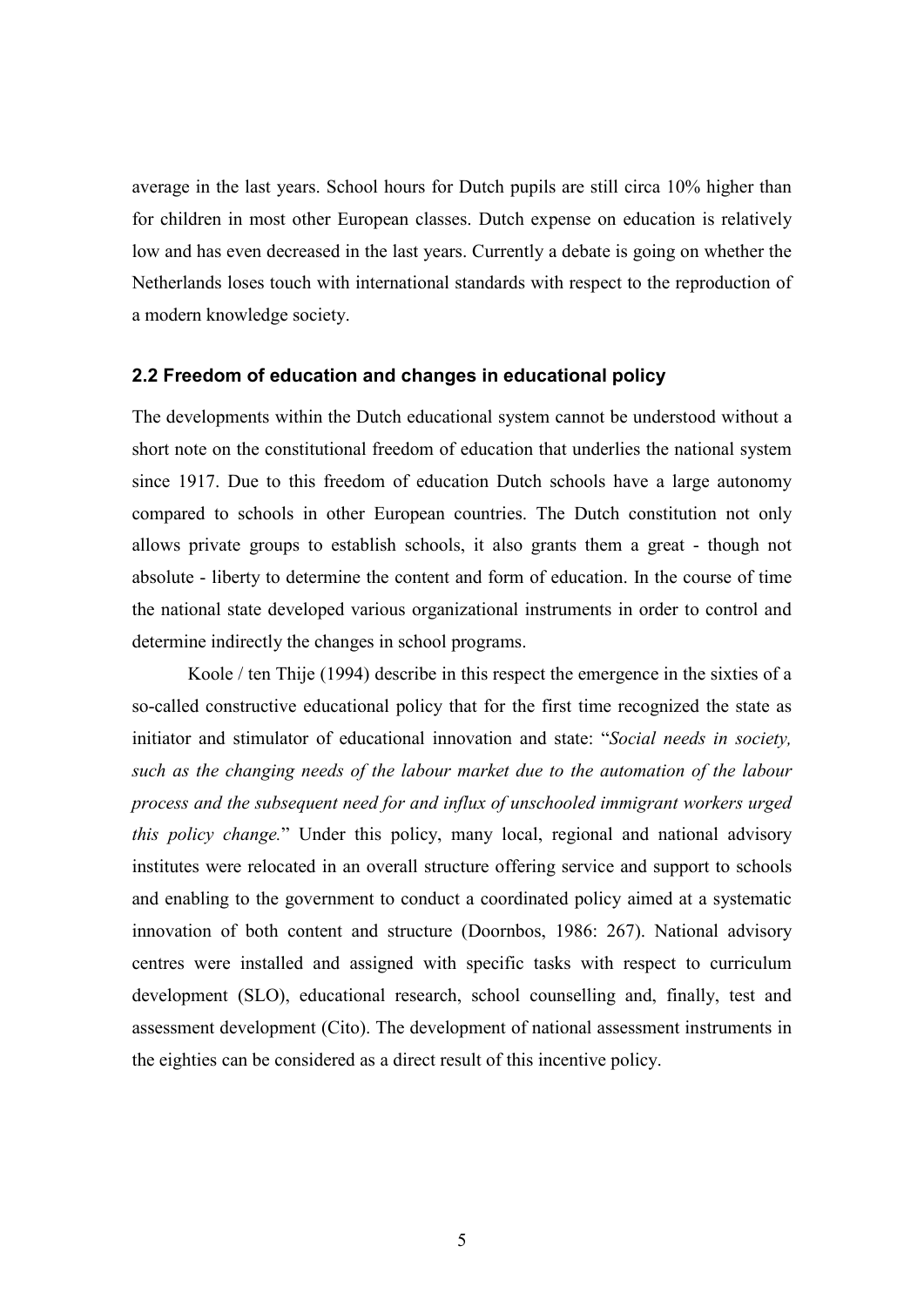average in the last years. School hours for Dutch pupils are still circa 10% higher than for children in most other European classes. Dutch expense on education is relatively low and has even decreased in the last years. Currently a debate is going on whether the Netherlands loses touch with international standards with respect to the reproduction of a modern knowledge society.

#### 2.2 Freedom of education and changes in educational policy

The developments within the Dutch educational system cannot be understood without a short note on the constitutional freedom of education that underlies the national system since 1917. Due to this freedom of education Dutch schools have a large autonomy compared to schools in other European countries. The Dutch constitution not only allows private groups to establish schools, it also grants them a great - though not absolute - liberty to determine the content and form of education. In the course of time the national state developed various organizational instruments in order to control and determine indirectly the changes in school programs.

Koole / ten Thije (1994) describe in this respect the emergence in the sixties of a so-called constructive educational policy that for the first time recognized the state as initiator and stimulator of educational innovation and state: "Social needs in society, such as the changing needs of the labour market due to the automation of the labour process and the subsequent need for and influx of unschooled immigrant workers urged this policy change." Under this policy, many local, regional and national advisory institutes were relocated in an overall structure offering service and support to schools and enabling to the government to conduct a coordinated policy aimed at a systematic innovation of both content and structure (Doornbos, 1986: 267). National advisory centres were installed and assigned with specific tasks with respect to curriculum development (SLO), educational research, school counselling and, finally, test and assessment development (Cito). The development of national assessment instruments in the eighties can be considered as a direct result of this incentive policy.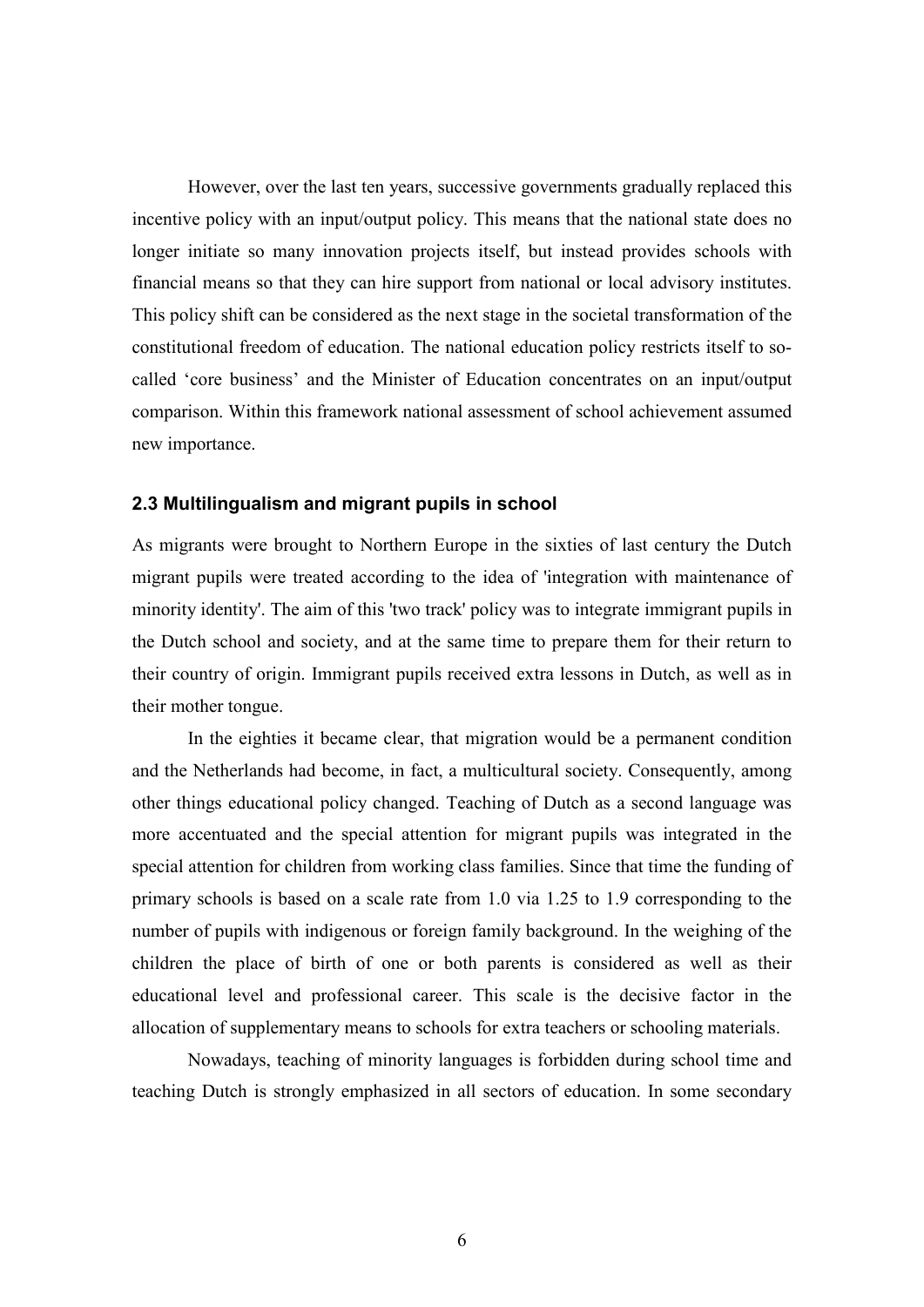However, over the last ten years, successive governments gradually replaced this incentive policy with an input/output policy. This means that the national state does no longer initiate so many innovation projects itself, but instead provides schools with financial means so that they can hire support from national or local advisory institutes. This policy shift can be considered as the next stage in the societal transformation of the constitutional freedom of education. The national education policy restricts itself to socalled 'core business' and the Minister of Education concentrates on an input/output comparison. Within this framework national assessment of school achievement assumed new importance.

## 2.3 Multilingualism and migrant pupils in school

As migrants were brought to Northern Europe in the sixties of last century the Dutch migrant pupils were treated according to the idea of 'integration with maintenance of minority identity'. The aim of this 'two track' policy was to integrate immigrant pupils in the Dutch school and society, and at the same time to prepare them for their return to their country of origin. Immigrant pupils received extra lessons in Dutch, as well as in their mother tongue.

In the eighties it became clear, that migration would be a permanent condition and the Netherlands had become, in fact, a multicultural society. Consequently, among other things educational policy changed. Teaching of Dutch as a second language was more accentuated and the special attention for migrant pupils was integrated in the special attention for children from working class families. Since that time the funding of primary schools is based on a scale rate from 1.0 via 1.25 to 1.9 corresponding to the number of pupils with indigenous or foreign family background. In the weighing of the children the place of birth of one or both parents is considered as well as their educational level and professional career. This scale is the decisive factor in the allocation of supplementary means to schools for extra teachers or schooling materials.

 Nowadays, teaching of minority languages is forbidden during school time and teaching Dutch is strongly emphasized in all sectors of education. In some secondary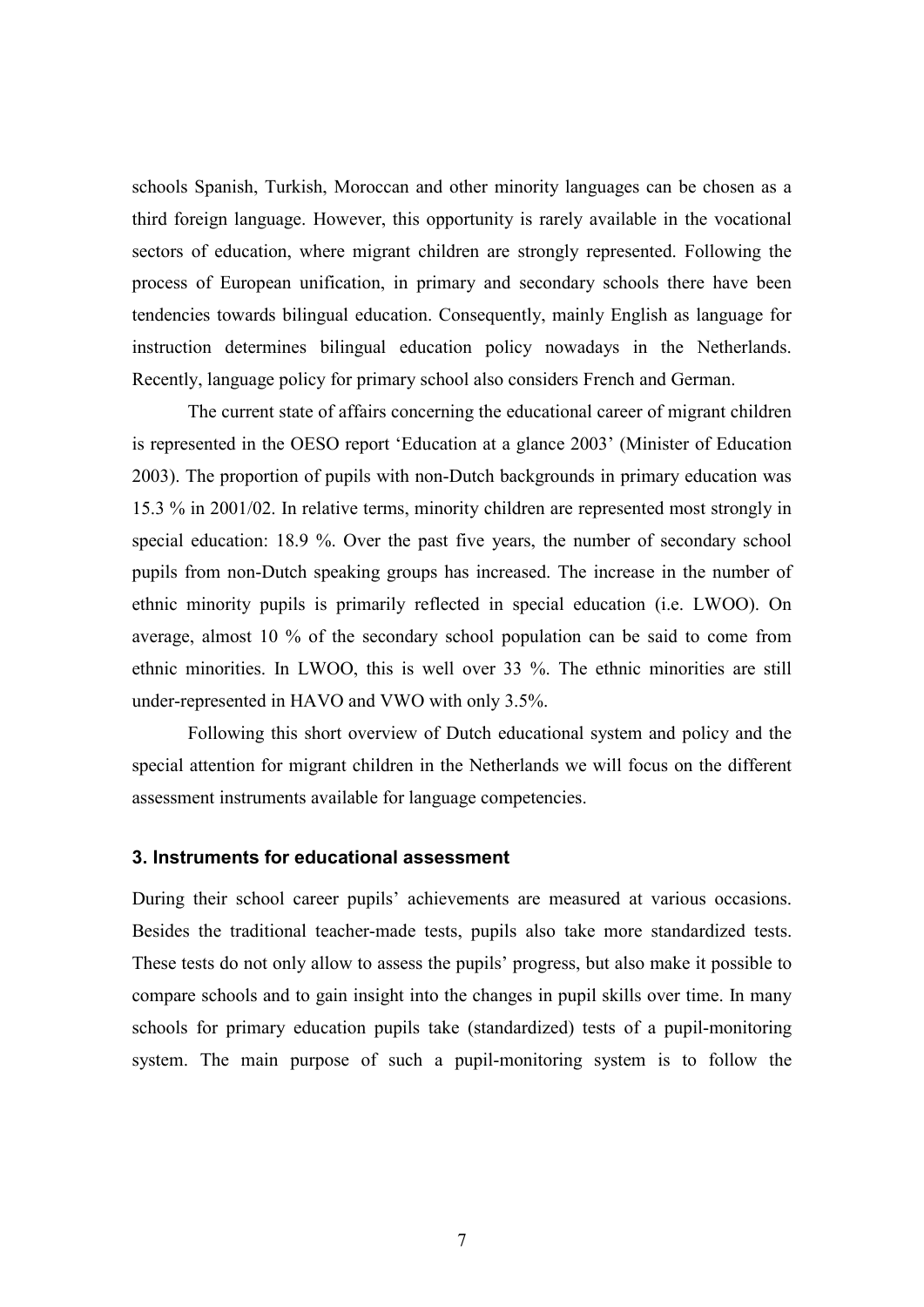schools Spanish, Turkish, Moroccan and other minority languages can be chosen as a third foreign language. However, this opportunity is rarely available in the vocational sectors of education, where migrant children are strongly represented. Following the process of European unification, in primary and secondary schools there have been tendencies towards bilingual education. Consequently, mainly English as language for instruction determines bilingual education policy nowadays in the Netherlands. Recently, language policy for primary school also considers French and German.

 The current state of affairs concerning the educational career of migrant children is represented in the OESO report 'Education at a glance 2003' (Minister of Education 2003). The proportion of pupils with non-Dutch backgrounds in primary education was 15.3 % in 2001/02. In relative terms, minority children are represented most strongly in special education: 18.9 %. Over the past five years, the number of secondary school pupils from non-Dutch speaking groups has increased. The increase in the number of ethnic minority pupils is primarily reflected in special education (i.e. LWOO). On average, almost 10 % of the secondary school population can be said to come from ethnic minorities. In LWOO, this is well over 33 %. The ethnic minorities are still under-represented in HAVO and VWO with only 3.5%.

 Following this short overview of Dutch educational system and policy and the special attention for migrant children in the Netherlands we will focus on the different assessment instruments available for language competencies.

## 3. Instruments for educational assessment

During their school career pupils' achievements are measured at various occasions. Besides the traditional teacher-made tests, pupils also take more standardized tests. These tests do not only allow to assess the pupils' progress, but also make it possible to compare schools and to gain insight into the changes in pupil skills over time. In many schools for primary education pupils take (standardized) tests of a pupil-monitoring system. The main purpose of such a pupil-monitoring system is to follow the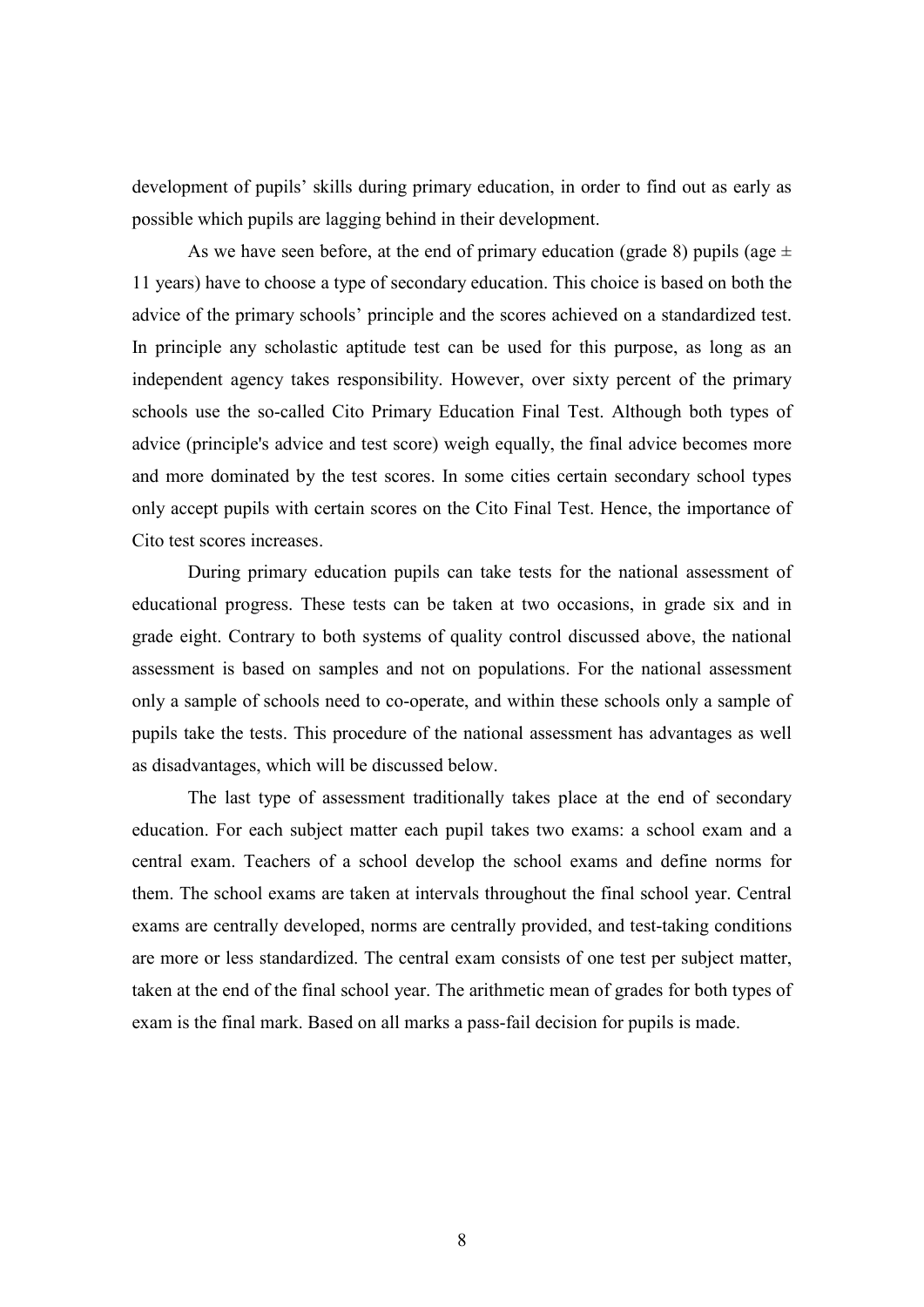development of pupils' skills during primary education, in order to find out as early as possible which pupils are lagging behind in their development.

As we have seen before, at the end of primary education (grade 8) pupils (age  $\pm$ 11 years) have to choose a type of secondary education. This choice is based on both the advice of the primary schools' principle and the scores achieved on a standardized test. In principle any scholastic aptitude test can be used for this purpose, as long as an independent agency takes responsibility. However, over sixty percent of the primary schools use the so-called Cito Primary Education Final Test. Although both types of advice (principle's advice and test score) weigh equally, the final advice becomes more and more dominated by the test scores. In some cities certain secondary school types only accept pupils with certain scores on the Cito Final Test. Hence, the importance of Cito test scores increases.

 During primary education pupils can take tests for the national assessment of educational progress. These tests can be taken at two occasions, in grade six and in grade eight. Contrary to both systems of quality control discussed above, the national assessment is based on samples and not on populations. For the national assessment only a sample of schools need to co-operate, and within these schools only a sample of pupils take the tests. This procedure of the national assessment has advantages as well as disadvantages, which will be discussed below.

 The last type of assessment traditionally takes place at the end of secondary education. For each subject matter each pupil takes two exams: a school exam and a central exam. Teachers of a school develop the school exams and define norms for them. The school exams are taken at intervals throughout the final school year. Central exams are centrally developed, norms are centrally provided, and test-taking conditions are more or less standardized. The central exam consists of one test per subject matter, taken at the end of the final school year. The arithmetic mean of grades for both types of exam is the final mark. Based on all marks a pass-fail decision for pupils is made.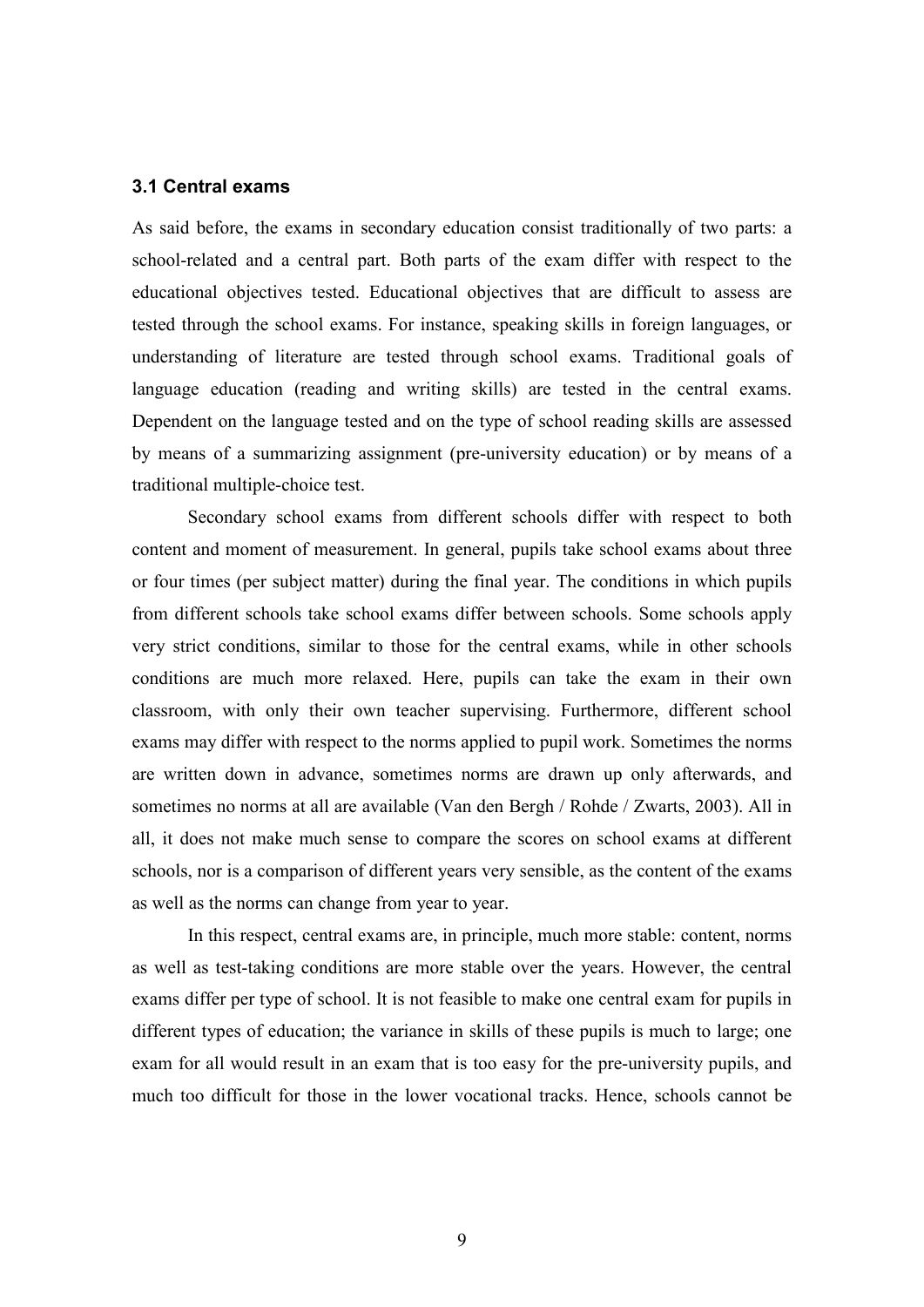#### 3.1 Central exams

As said before, the exams in secondary education consist traditionally of two parts: a school-related and a central part. Both parts of the exam differ with respect to the educational objectives tested. Educational objectives that are difficult to assess are tested through the school exams. For instance, speaking skills in foreign languages, or understanding of literature are tested through school exams. Traditional goals of language education (reading and writing skills) are tested in the central exams. Dependent on the language tested and on the type of school reading skills are assessed by means of a summarizing assignment (pre-university education) or by means of a traditional multiple-choice test.

 Secondary school exams from different schools differ with respect to both content and moment of measurement. In general, pupils take school exams about three or four times (per subject matter) during the final year. The conditions in which pupils from different schools take school exams differ between schools. Some schools apply very strict conditions, similar to those for the central exams, while in other schools conditions are much more relaxed. Here, pupils can take the exam in their own classroom, with only their own teacher supervising. Furthermore, different school exams may differ with respect to the norms applied to pupil work. Sometimes the norms are written down in advance, sometimes norms are drawn up only afterwards, and sometimes no norms at all are available (Van den Bergh / Rohde / Zwarts, 2003). All in all, it does not make much sense to compare the scores on school exams at different schools, nor is a comparison of different years very sensible, as the content of the exams as well as the norms can change from year to year.

In this respect, central exams are, in principle, much more stable: content, norms as well as test-taking conditions are more stable over the years. However, the central exams differ per type of school. It is not feasible to make one central exam for pupils in different types of education; the variance in skills of these pupils is much to large; one exam for all would result in an exam that is too easy for the pre-university pupils, and much too difficult for those in the lower vocational tracks. Hence, schools cannot be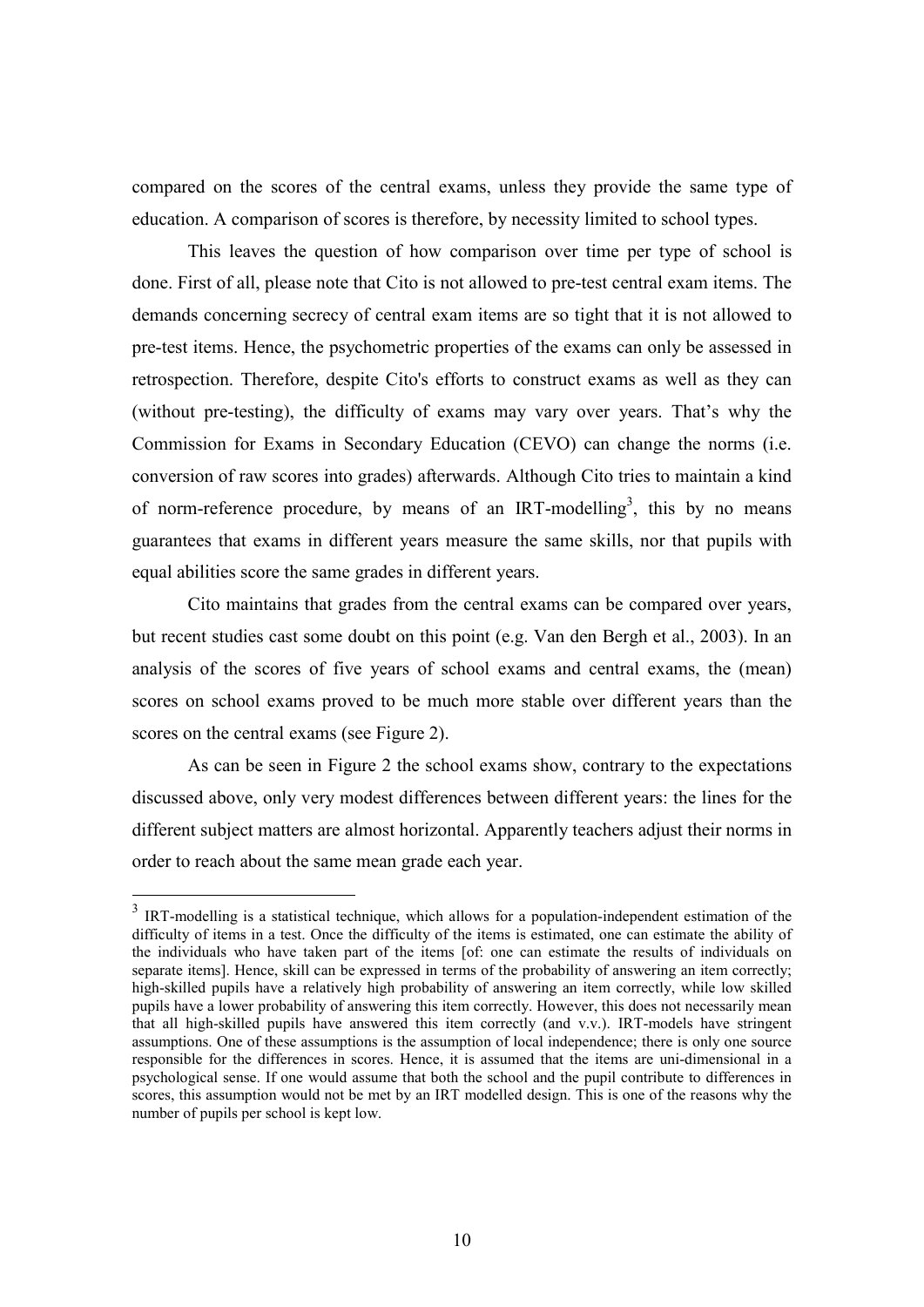compared on the scores of the central exams, unless they provide the same type of education. A comparison of scores is therefore, by necessity limited to school types.

This leaves the question of how comparison over time per type of school is done. First of all, please note that Cito is not allowed to pre-test central exam items. The demands concerning secrecy of central exam items are so tight that it is not allowed to pre-test items. Hence, the psychometric properties of the exams can only be assessed in retrospection. Therefore, despite Cito's efforts to construct exams as well as they can (without pre-testing), the difficulty of exams may vary over years. That's why the Commission for Exams in Secondary Education (CEVO) can change the norms (i.e. conversion of raw scores into grades) afterwards. Although Cito tries to maintain a kind of norm-reference procedure, by means of an IRT-modelling<sup>3</sup>, this by no means guarantees that exams in different years measure the same skills, nor that pupils with equal abilities score the same grades in different years.

Cito maintains that grades from the central exams can be compared over years, but recent studies cast some doubt on this point (e.g. Van den Bergh et al., 2003). In an analysis of the scores of five years of school exams and central exams, the (mean) scores on school exams proved to be much more stable over different years than the scores on the central exams (see Figure 2).

As can be seen in Figure 2 the school exams show, contrary to the expectations discussed above, only very modest differences between different years: the lines for the different subject matters are almost horizontal. Apparently teachers adjust their norms in order to reach about the same mean grade each year.

<u>.</u>

 $3$  IRT-modelling is a statistical technique, which allows for a population-independent estimation of the difficulty of items in a test. Once the difficulty of the items is estimated, one can estimate the ability of the individuals who have taken part of the items [of: one can estimate the results of individuals on separate items]. Hence, skill can be expressed in terms of the probability of answering an item correctly; high-skilled pupils have a relatively high probability of answering an item correctly, while low skilled pupils have a lower probability of answering this item correctly. However, this does not necessarily mean that all high-skilled pupils have answered this item correctly (and v.v.). IRT-models have stringent assumptions. One of these assumptions is the assumption of local independence; there is only one source responsible for the differences in scores. Hence, it is assumed that the items are uni-dimensional in a psychological sense. If one would assume that both the school and the pupil contribute to differences in scores, this assumption would not be met by an IRT modelled design. This is one of the reasons why the number of pupils per school is kept low.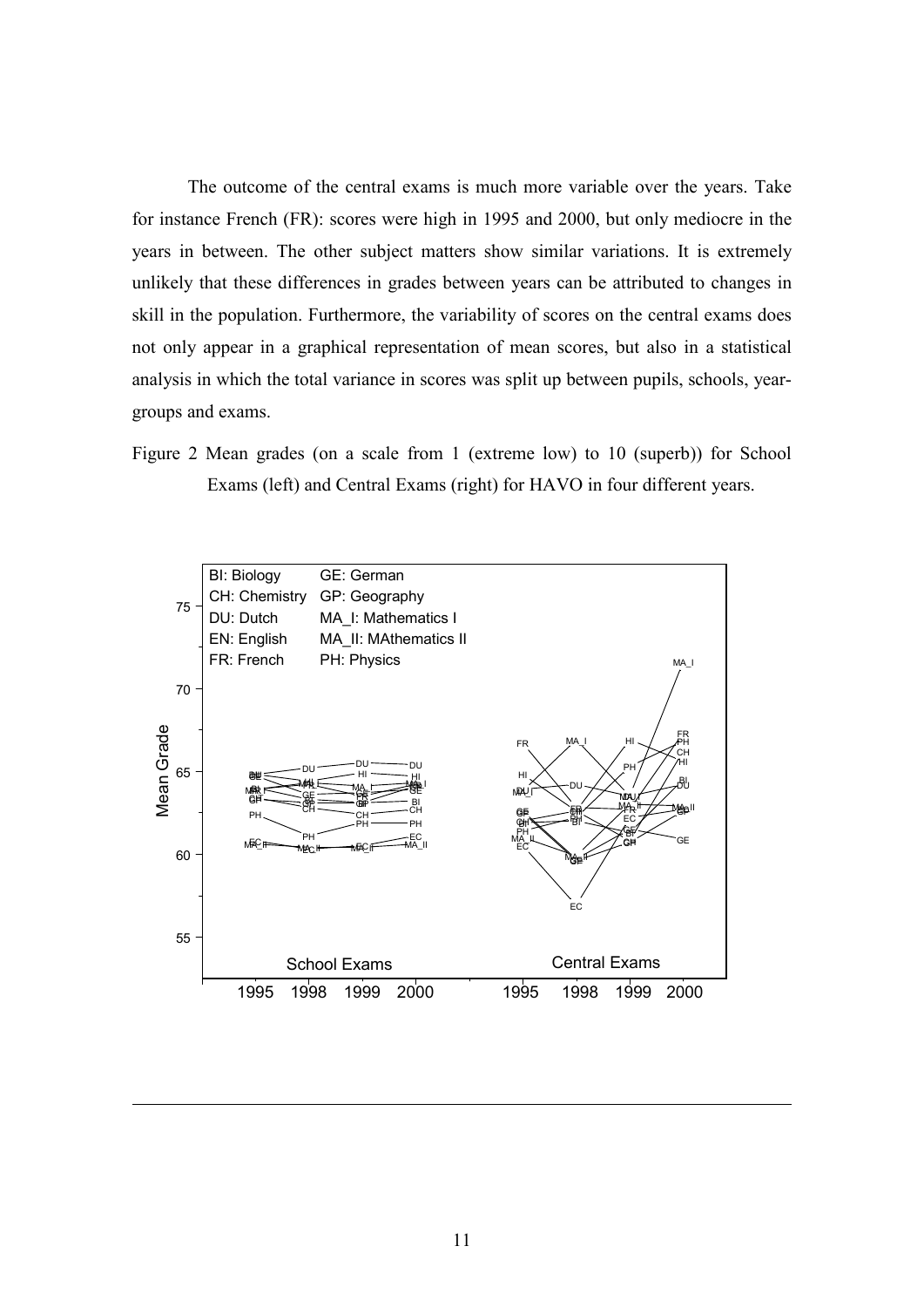The outcome of the central exams is much more variable over the years. Take for instance French (FR): scores were high in 1995 and 2000, but only mediocre in the years in between. The other subject matters show similar variations. It is extremely unlikely that these differences in grades between years can be attributed to changes in skill in the population. Furthermore, the variability of scores on the central exams does not only appear in a graphical representation of mean scores, but also in a statistical analysis in which the total variance in scores was split up between pupils, schools, yeargroups and exams.

Figure 2 Mean grades (on a scale from 1 (extreme low) to 10 (superb)) for School Exams (left) and Central Exams (right) for HAVO in four different years.



-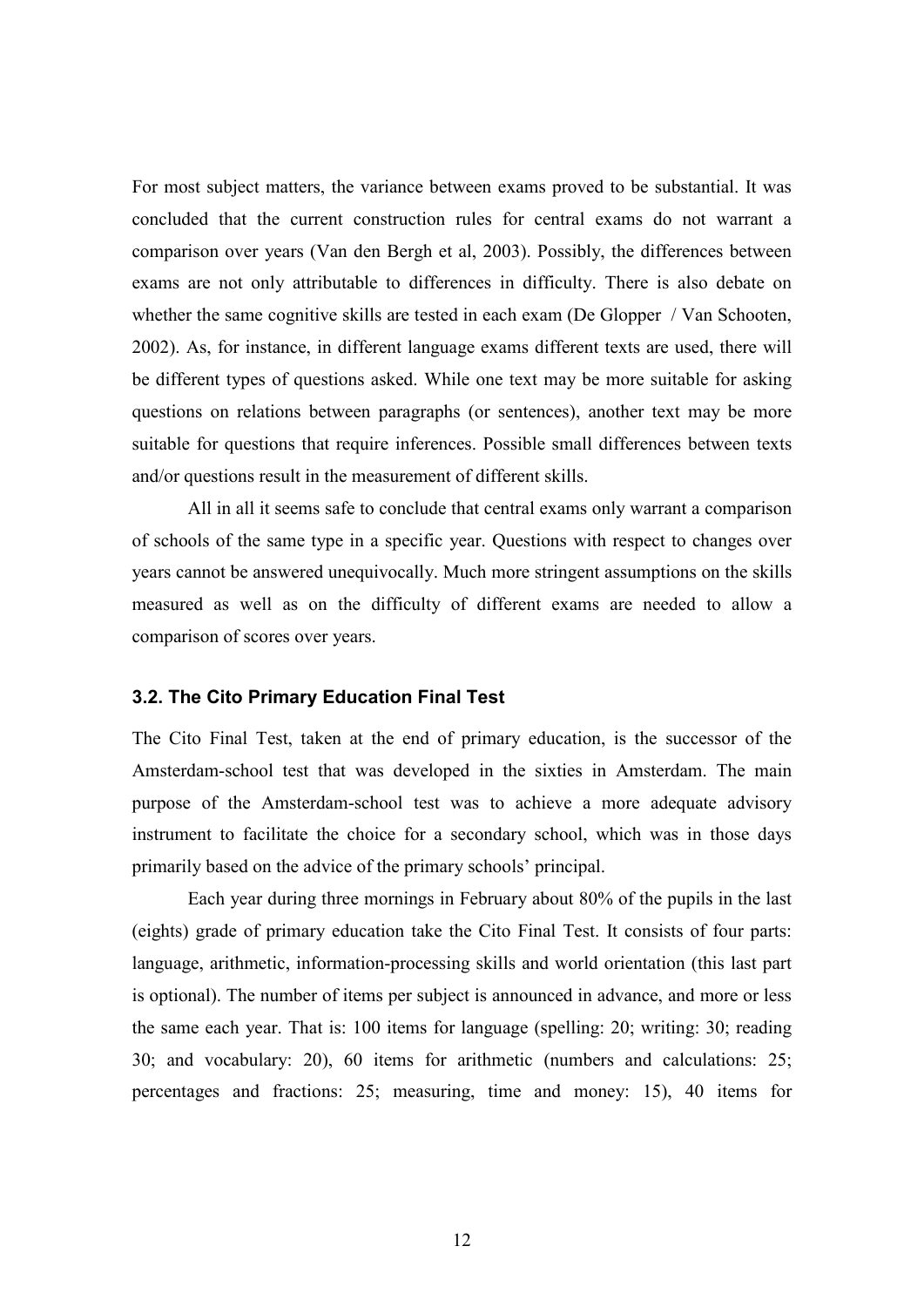For most subject matters, the variance between exams proved to be substantial. It was concluded that the current construction rules for central exams do not warrant a comparison over years (Van den Bergh et al, 2003). Possibly, the differences between exams are not only attributable to differences in difficulty. There is also debate on whether the same cognitive skills are tested in each exam (De Glopper / Van Schooten, 2002). As, for instance, in different language exams different texts are used, there will be different types of questions asked. While one text may be more suitable for asking questions on relations between paragraphs (or sentences), another text may be more suitable for questions that require inferences. Possible small differences between texts and/or questions result in the measurement of different skills.

All in all it seems safe to conclude that central exams only warrant a comparison of schools of the same type in a specific year. Questions with respect to changes over years cannot be answered unequivocally. Much more stringent assumptions on the skills measured as well as on the difficulty of different exams are needed to allow a comparison of scores over years.

#### 3.2. The Cito Primary Education Final Test

The Cito Final Test, taken at the end of primary education, is the successor of the Amsterdam-school test that was developed in the sixties in Amsterdam. The main purpose of the Amsterdam-school test was to achieve a more adequate advisory instrument to facilitate the choice for a secondary school, which was in those days primarily based on the advice of the primary schools' principal.

Each year during three mornings in February about 80% of the pupils in the last (eights) grade of primary education take the Cito Final Test. It consists of four parts: language, arithmetic, information-processing skills and world orientation (this last part is optional). The number of items per subject is announced in advance, and more or less the same each year. That is: 100 items for language (spelling: 20; writing: 30; reading 30; and vocabulary: 20), 60 items for arithmetic (numbers and calculations: 25; percentages and fractions: 25; measuring, time and money: 15), 40 items for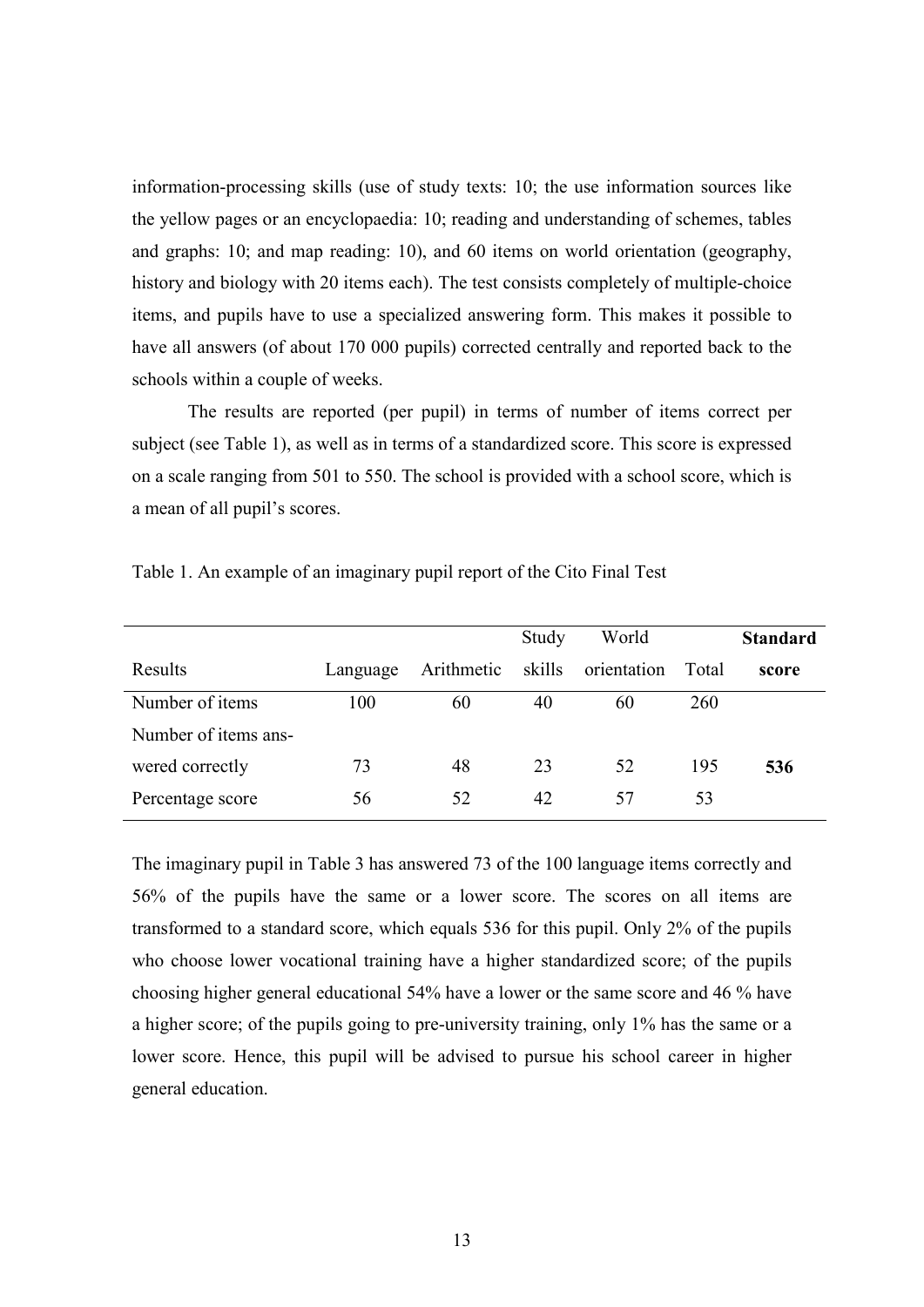information-processing skills (use of study texts: 10; the use information sources like the yellow pages or an encyclopaedia: 10; reading and understanding of schemes, tables and graphs: 10; and map reading: 10), and 60 items on world orientation (geography, history and biology with 20 items each). The test consists completely of multiple-choice items, and pupils have to use a specialized answering form. This makes it possible to have all answers (of about 170 000 pupils) corrected centrally and reported back to the schools within a couple of weeks.

 The results are reported (per pupil) in terms of number of items correct per subject (see Table 1), as well as in terms of a standardized score. This score is expressed on a scale ranging from 501 to 550. The school is provided with a school score, which is a mean of all pupil's scores.

|                      |          |            | Study  | World       |       | <b>Standard</b> |
|----------------------|----------|------------|--------|-------------|-------|-----------------|
| Results              | Language | Arithmetic | skills | orientation | Total | score           |
| Number of items      | 100      | 60         | 40     | 60          | 260   |                 |
| Number of items ans- |          |            |        |             |       |                 |
| wered correctly      | 73       | 48         | 23     | 52          | 195   | 536             |
| Percentage score     | 56       | 52         | 42     | 57          | 53    |                 |

Table 1. An example of an imaginary pupil report of the Cito Final Test

The imaginary pupil in Table 3 has answered 73 of the 100 language items correctly and 56% of the pupils have the same or a lower score. The scores on all items are transformed to a standard score, which equals 536 for this pupil. Only 2% of the pupils who choose lower vocational training have a higher standardized score; of the pupils choosing higher general educational 54% have a lower or the same score and 46 % have a higher score; of the pupils going to pre-university training, only 1% has the same or a lower score. Hence, this pupil will be advised to pursue his school career in higher general education.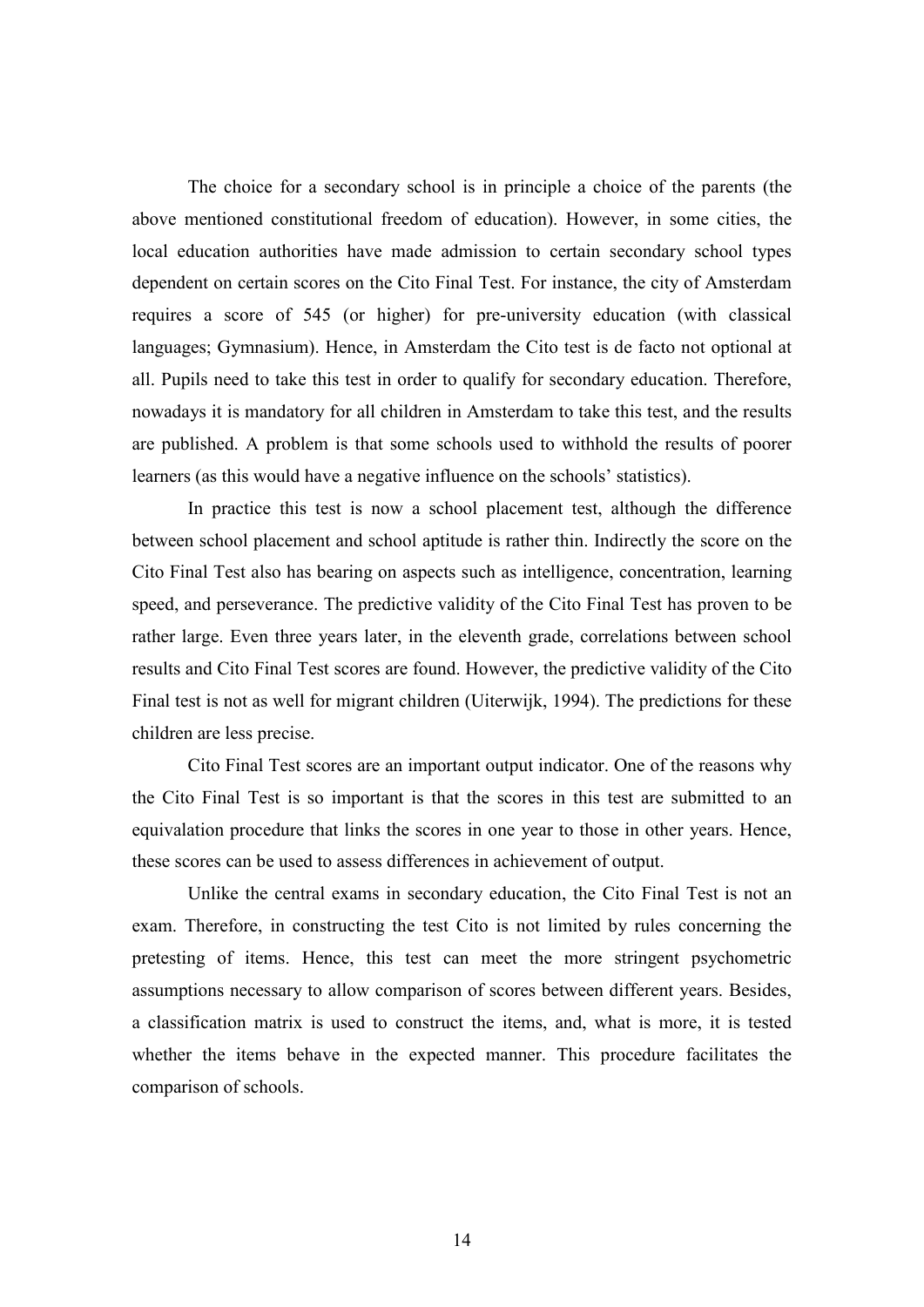The choice for a secondary school is in principle a choice of the parents (the above mentioned constitutional freedom of education). However, in some cities, the local education authorities have made admission to certain secondary school types dependent on certain scores on the Cito Final Test. For instance, the city of Amsterdam requires a score of 545 (or higher) for pre-university education (with classical languages; Gymnasium). Hence, in Amsterdam the Cito test is de facto not optional at all. Pupils need to take this test in order to qualify for secondary education. Therefore, nowadays it is mandatory for all children in Amsterdam to take this test, and the results are published. A problem is that some schools used to withhold the results of poorer learners (as this would have a negative influence on the schools' statistics).

In practice this test is now a school placement test, although the difference between school placement and school aptitude is rather thin. Indirectly the score on the Cito Final Test also has bearing on aspects such as intelligence, concentration, learning speed, and perseverance. The predictive validity of the Cito Final Test has proven to be rather large. Even three years later, in the eleventh grade, correlations between school results and Cito Final Test scores are found. However, the predictive validity of the Cito Final test is not as well for migrant children (Uiterwijk, 1994). The predictions for these children are less precise.

Cito Final Test scores are an important output indicator. One of the reasons why the Cito Final Test is so important is that the scores in this test are submitted to an equivalation procedure that links the scores in one year to those in other years. Hence, these scores can be used to assess differences in achievement of output.

 Unlike the central exams in secondary education, the Cito Final Test is not an exam. Therefore, in constructing the test Cito is not limited by rules concerning the pretesting of items. Hence, this test can meet the more stringent psychometric assumptions necessary to allow comparison of scores between different years. Besides, a classification matrix is used to construct the items, and, what is more, it is tested whether the items behave in the expected manner. This procedure facilitates the comparison of schools.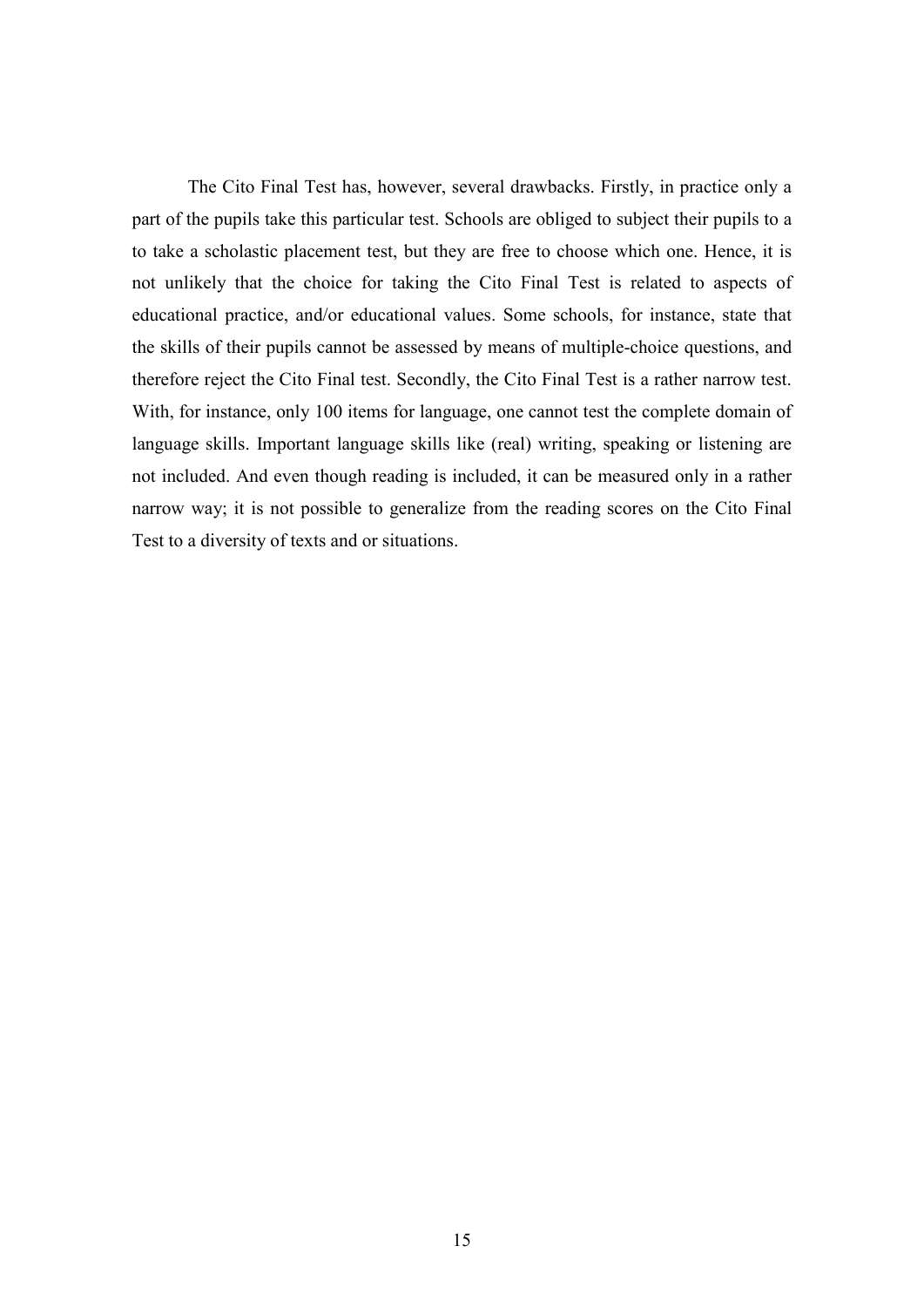The Cito Final Test has, however, several drawbacks. Firstly, in practice only a part of the pupils take this particular test. Schools are obliged to subject their pupils to a to take a scholastic placement test, but they are free to choose which one. Hence, it is not unlikely that the choice for taking the Cito Final Test is related to aspects of educational practice, and/or educational values. Some schools, for instance, state that the skills of their pupils cannot be assessed by means of multiple-choice questions, and therefore reject the Cito Final test. Secondly, the Cito Final Test is a rather narrow test. With, for instance, only 100 items for language, one cannot test the complete domain of language skills. Important language skills like (real) writing, speaking or listening are not included. And even though reading is included, it can be measured only in a rather narrow way; it is not possible to generalize from the reading scores on the Cito Final Test to a diversity of texts and or situations.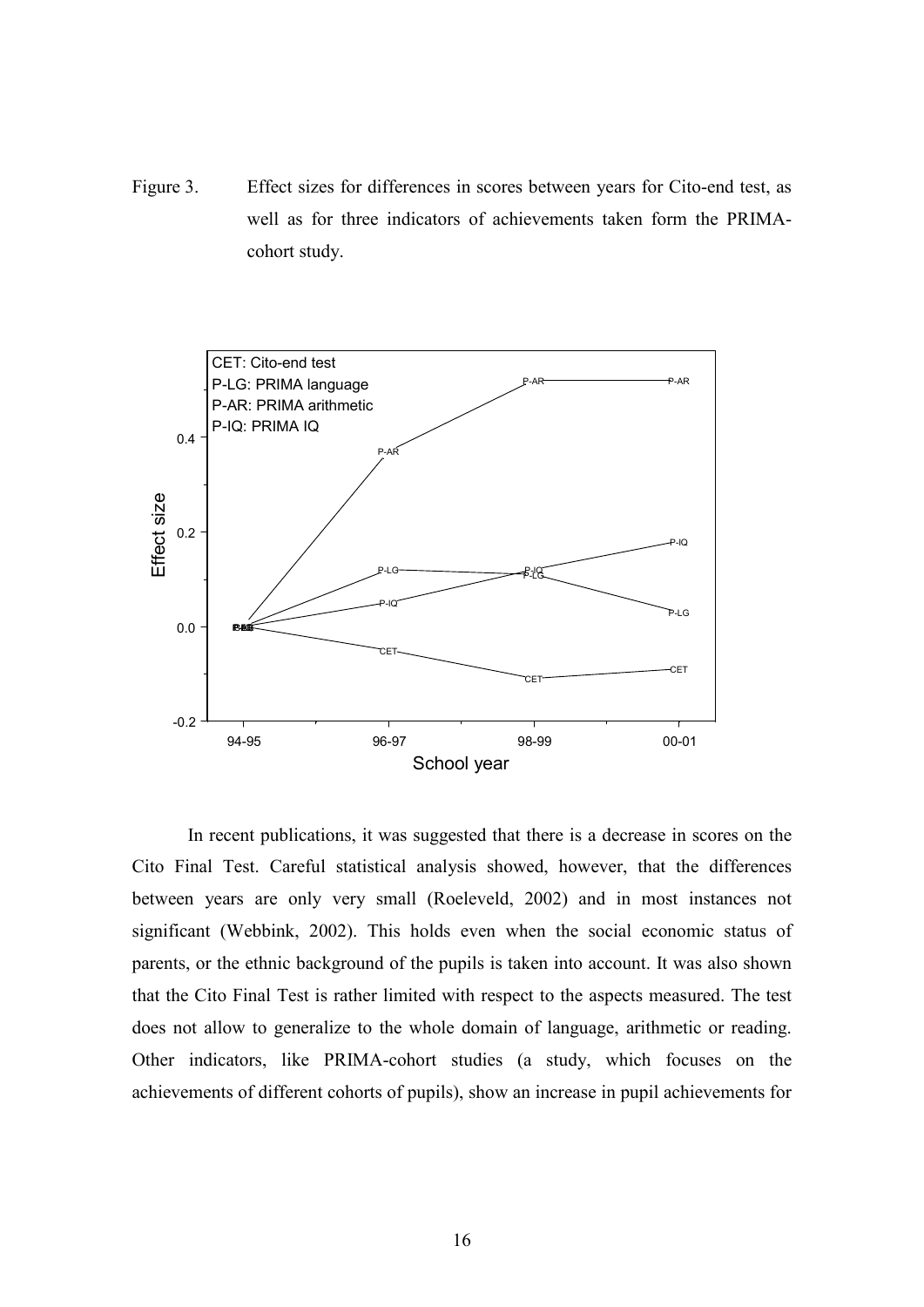Figure 3. Effect sizes for differences in scores between years for Cito-end test, as well as for three indicators of achievements taken form the PRIMAcohort study.



In recent publications, it was suggested that there is a decrease in scores on the Cito Final Test. Careful statistical analysis showed, however, that the differences between years are only very small (Roeleveld, 2002) and in most instances not significant (Webbink, 2002). This holds even when the social economic status of parents, or the ethnic background of the pupils is taken into account. It was also shown that the Cito Final Test is rather limited with respect to the aspects measured. The test does not allow to generalize to the whole domain of language, arithmetic or reading. Other indicators, like PRIMA-cohort studies (a study, which focuses on the achievements of different cohorts of pupils), show an increase in pupil achievements for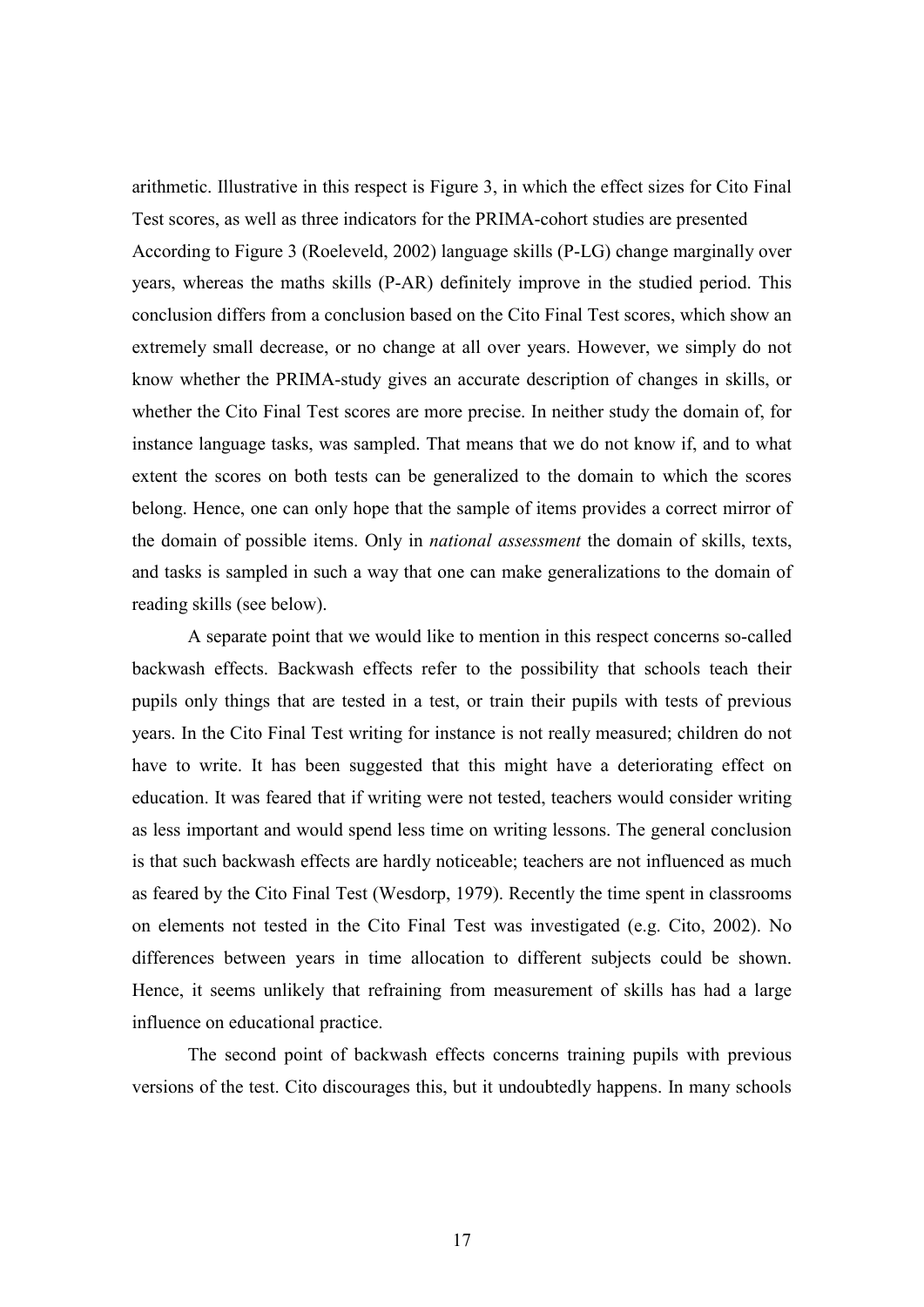arithmetic. Illustrative in this respect is Figure 3, in which the effect sizes for Cito Final Test scores, as well as three indicators for the PRIMA-cohort studies are presented According to Figure 3 (Roeleveld, 2002) language skills (P-LG) change marginally over years, whereas the maths skills (P-AR) definitely improve in the studied period. This conclusion differs from a conclusion based on the Cito Final Test scores, which show an extremely small decrease, or no change at all over years. However, we simply do not know whether the PRIMA-study gives an accurate description of changes in skills, or whether the Cito Final Test scores are more precise. In neither study the domain of, for instance language tasks, was sampled. That means that we do not know if, and to what extent the scores on both tests can be generalized to the domain to which the scores belong. Hence, one can only hope that the sample of items provides a correct mirror of the domain of possible items. Only in national assessment the domain of skills, texts, and tasks is sampled in such a way that one can make generalizations to the domain of reading skills (see below).

A separate point that we would like to mention in this respect concerns so-called backwash effects. Backwash effects refer to the possibility that schools teach their pupils only things that are tested in a test, or train their pupils with tests of previous years. In the Cito Final Test writing for instance is not really measured; children do not have to write. It has been suggested that this might have a deteriorating effect on education. It was feared that if writing were not tested, teachers would consider writing as less important and would spend less time on writing lessons. The general conclusion is that such backwash effects are hardly noticeable; teachers are not influenced as much as feared by the Cito Final Test (Wesdorp, 1979). Recently the time spent in classrooms on elements not tested in the Cito Final Test was investigated (e.g. Cito, 2002). No differences between years in time allocation to different subjects could be shown. Hence, it seems unlikely that refraining from measurement of skills has had a large influence on educational practice.

The second point of backwash effects concerns training pupils with previous versions of the test. Cito discourages this, but it undoubtedly happens. In many schools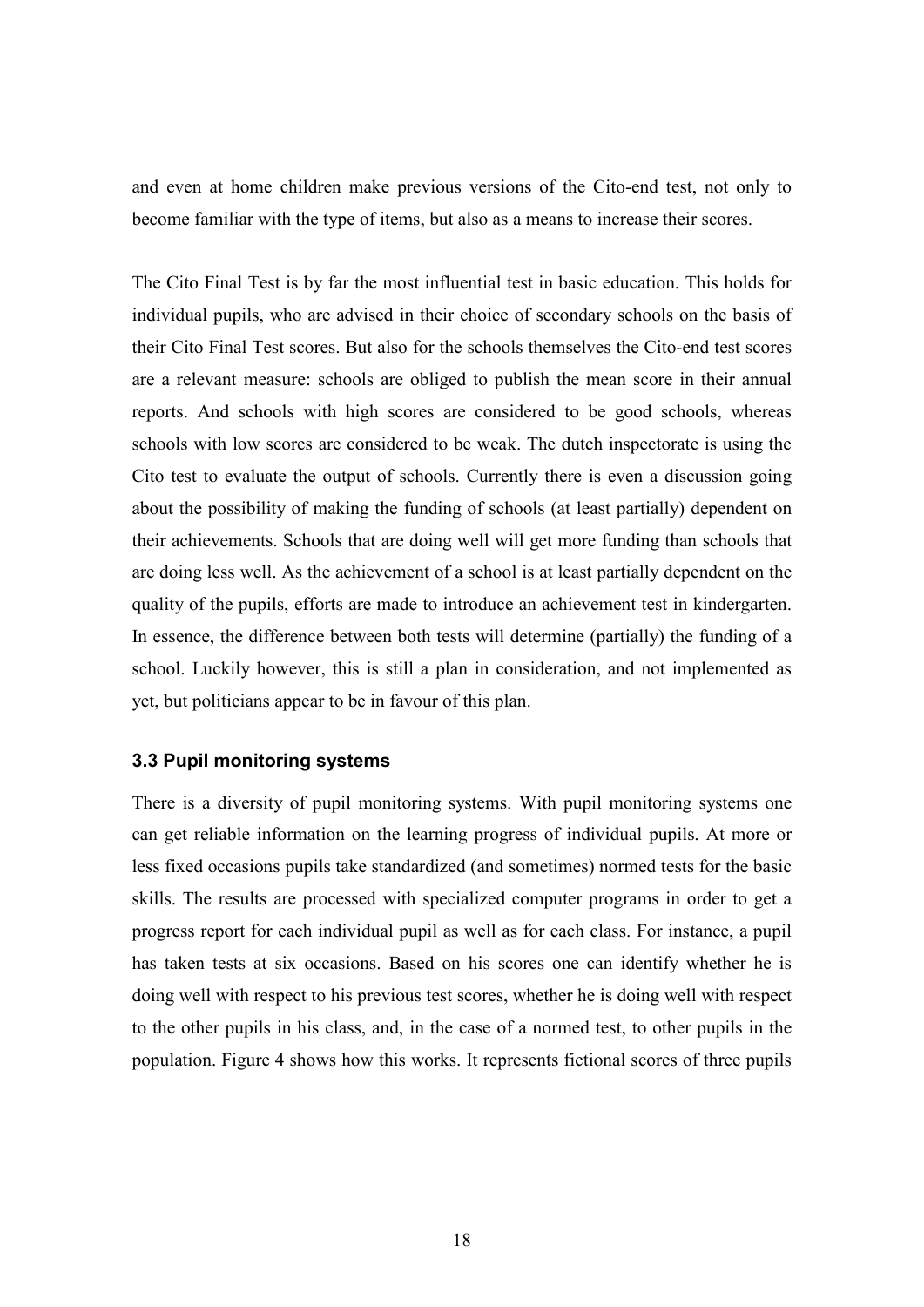and even at home children make previous versions of the Cito-end test, not only to become familiar with the type of items, but also as a means to increase their scores.

The Cito Final Test is by far the most influential test in basic education. This holds for individual pupils, who are advised in their choice of secondary schools on the basis of their Cito Final Test scores. But also for the schools themselves the Cito-end test scores are a relevant measure: schools are obliged to publish the mean score in their annual reports. And schools with high scores are considered to be good schools, whereas schools with low scores are considered to be weak. The dutch inspectorate is using the Cito test to evaluate the output of schools. Currently there is even a discussion going about the possibility of making the funding of schools (at least partially) dependent on their achievements. Schools that are doing well will get more funding than schools that are doing less well. As the achievement of a school is at least partially dependent on the quality of the pupils, efforts are made to introduce an achievement test in kindergarten. In essence, the difference between both tests will determine (partially) the funding of a school. Luckily however, this is still a plan in consideration, and not implemented as yet, but politicians appear to be in favour of this plan.

# 3.3 Pupil monitoring systems

There is a diversity of pupil monitoring systems. With pupil monitoring systems one can get reliable information on the learning progress of individual pupils. At more or less fixed occasions pupils take standardized (and sometimes) normed tests for the basic skills. The results are processed with specialized computer programs in order to get a progress report for each individual pupil as well as for each class. For instance, a pupil has taken tests at six occasions. Based on his scores one can identify whether he is doing well with respect to his previous test scores, whether he is doing well with respect to the other pupils in his class, and, in the case of a normed test, to other pupils in the population. Figure 4 shows how this works. It represents fictional scores of three pupils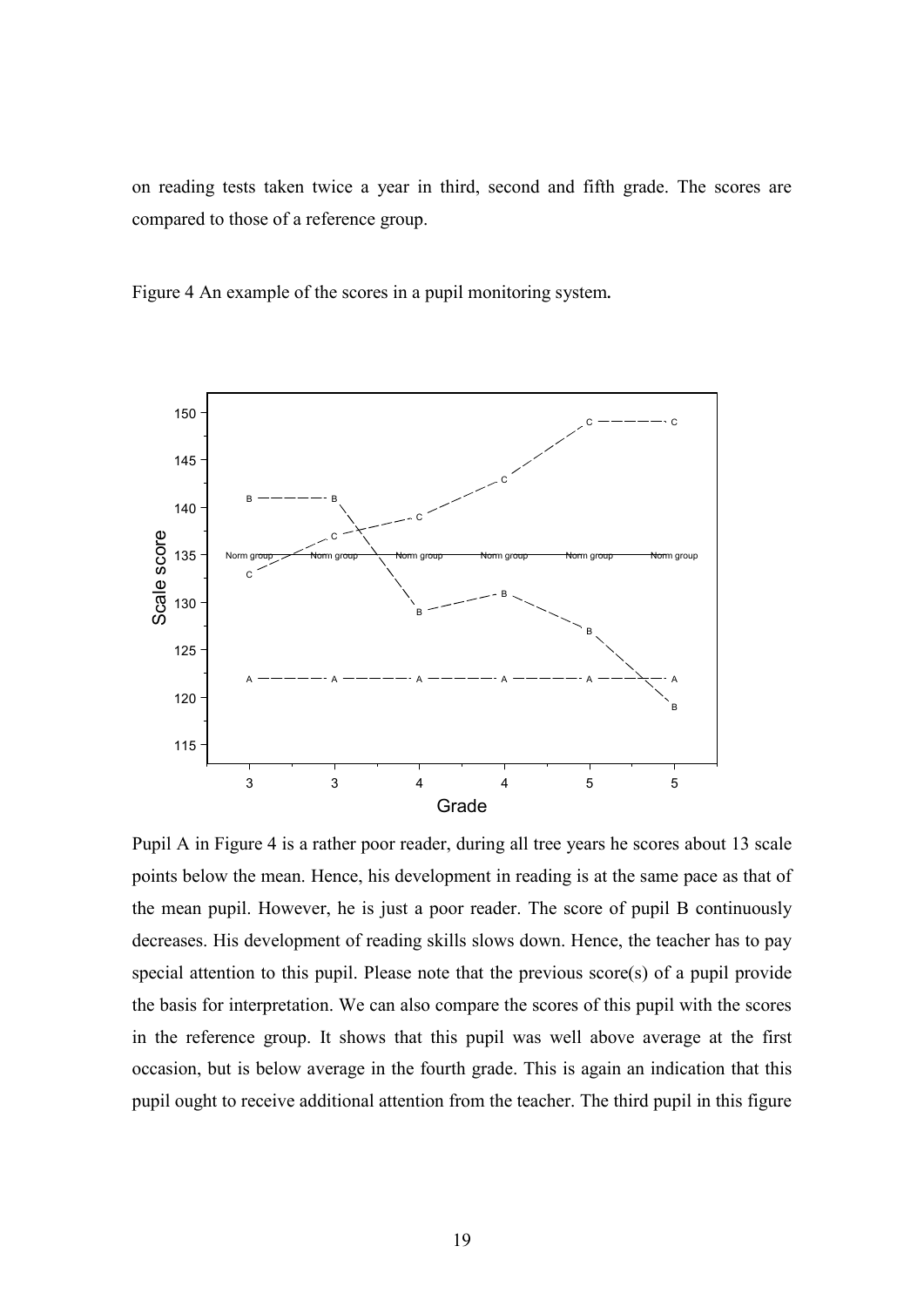on reading tests taken twice a year in third, second and fifth grade. The scores are compared to those of a reference group.

Figure 4 An example of the scores in a pupil monitoring system.



Pupil A in Figure 4 is a rather poor reader, during all tree years he scores about 13 scale points below the mean. Hence, his development in reading is at the same pace as that of the mean pupil. However, he is just a poor reader. The score of pupil B continuously decreases. His development of reading skills slows down. Hence, the teacher has to pay special attention to this pupil. Please note that the previous score(s) of a pupil provide the basis for interpretation. We can also compare the scores of this pupil with the scores in the reference group. It shows that this pupil was well above average at the first occasion, but is below average in the fourth grade. This is again an indication that this pupil ought to receive additional attention from the teacher. The third pupil in this figure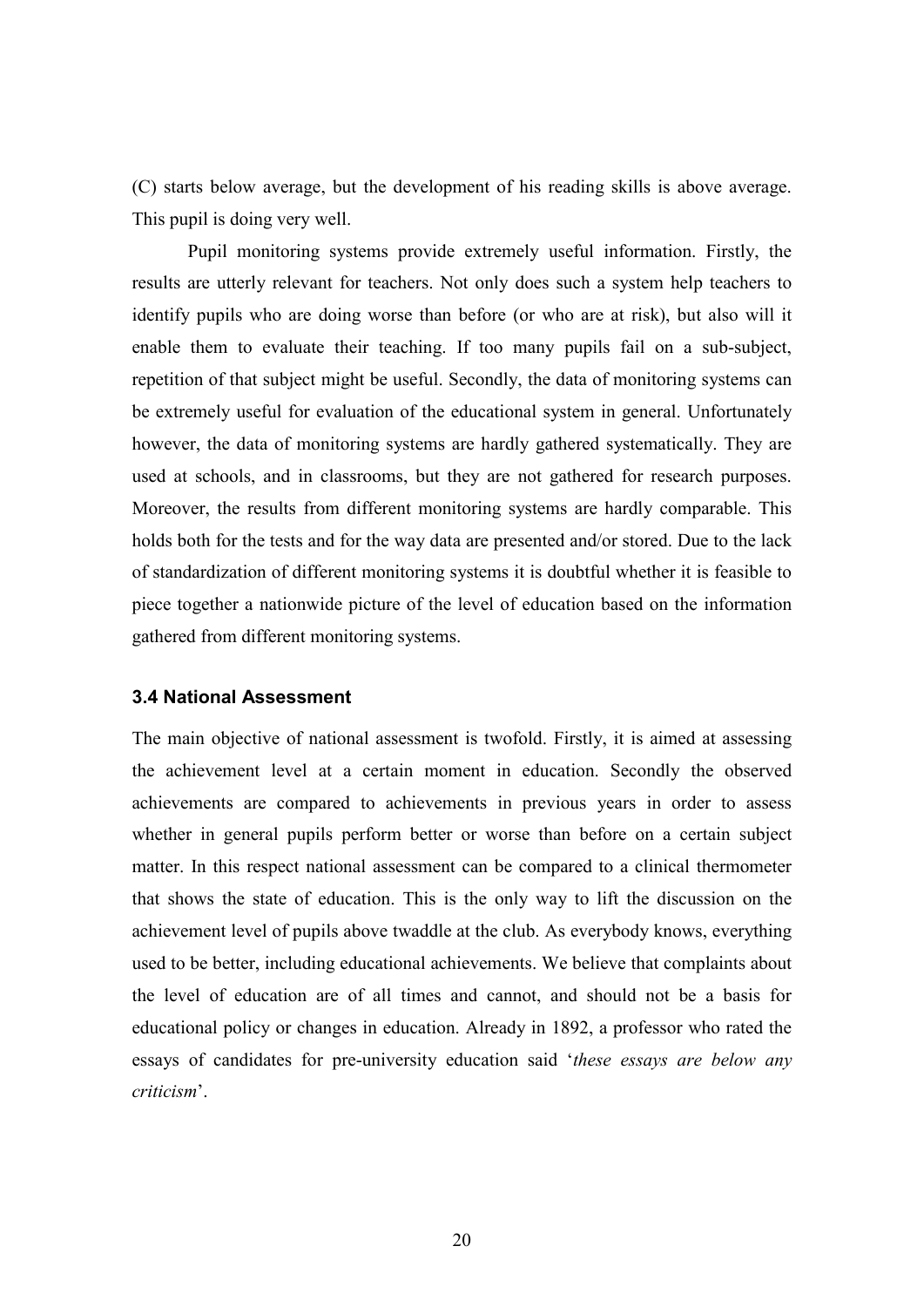(C) starts below average, but the development of his reading skills is above average. This pupil is doing very well.

 Pupil monitoring systems provide extremely useful information. Firstly, the results are utterly relevant for teachers. Not only does such a system help teachers to identify pupils who are doing worse than before (or who are at risk), but also will it enable them to evaluate their teaching. If too many pupils fail on a sub-subject, repetition of that subject might be useful. Secondly, the data of monitoring systems can be extremely useful for evaluation of the educational system in general. Unfortunately however, the data of monitoring systems are hardly gathered systematically. They are used at schools, and in classrooms, but they are not gathered for research purposes. Moreover, the results from different monitoring systems are hardly comparable. This holds both for the tests and for the way data are presented and/or stored. Due to the lack of standardization of different monitoring systems it is doubtful whether it is feasible to piece together a nationwide picture of the level of education based on the information gathered from different monitoring systems.

#### 3.4 National Assessment

The main objective of national assessment is twofold. Firstly, it is aimed at assessing the achievement level at a certain moment in education. Secondly the observed achievements are compared to achievements in previous years in order to assess whether in general pupils perform better or worse than before on a certain subject matter. In this respect national assessment can be compared to a clinical thermometer that shows the state of education. This is the only way to lift the discussion on the achievement level of pupils above twaddle at the club. As everybody knows, everything used to be better, including educational achievements. We believe that complaints about the level of education are of all times and cannot, and should not be a basis for educational policy or changes in education. Already in 1892, a professor who rated the essays of candidates for pre-university education said 'these essays are below any criticism'.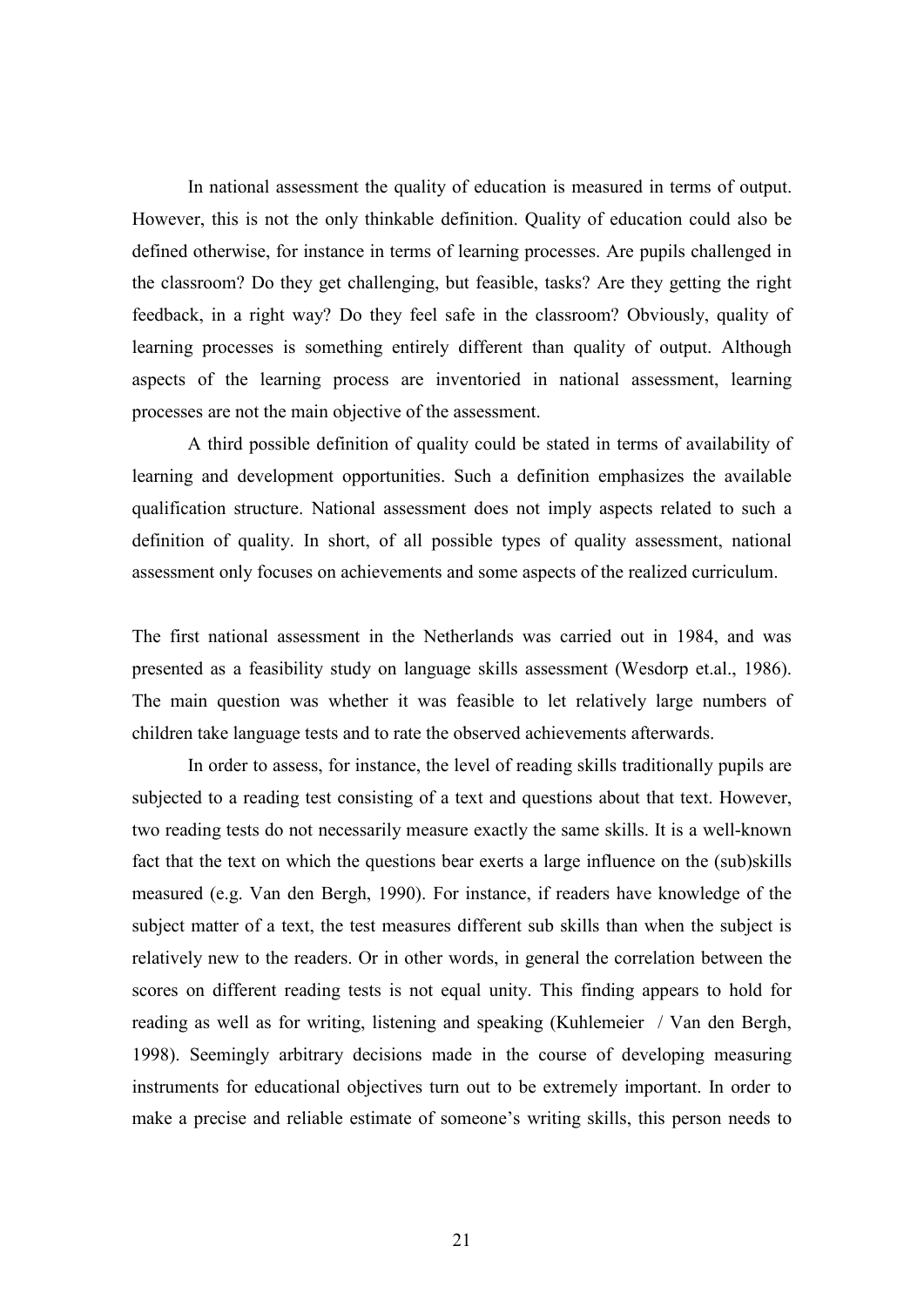In national assessment the quality of education is measured in terms of output. However, this is not the only thinkable definition. Quality of education could also be defined otherwise, for instance in terms of learning processes. Are pupils challenged in the classroom? Do they get challenging, but feasible, tasks? Are they getting the right feedback, in a right way? Do they feel safe in the classroom? Obviously, quality of learning processes is something entirely different than quality of output. Although aspects of the learning process are inventoried in national assessment, learning processes are not the main objective of the assessment.

A third possible definition of quality could be stated in terms of availability of learning and development opportunities. Such a definition emphasizes the available qualification structure. National assessment does not imply aspects related to such a definition of quality. In short, of all possible types of quality assessment, national assessment only focuses on achievements and some aspects of the realized curriculum.

The first national assessment in the Netherlands was carried out in 1984, and was presented as a feasibility study on language skills assessment (Wesdorp et.al., 1986). The main question was whether it was feasible to let relatively large numbers of children take language tests and to rate the observed achievements afterwards.

In order to assess, for instance, the level of reading skills traditionally pupils are subjected to a reading test consisting of a text and questions about that text. However, two reading tests do not necessarily measure exactly the same skills. It is a well-known fact that the text on which the questions bear exerts a large influence on the (sub)skills measured (e.g. Van den Bergh, 1990). For instance, if readers have knowledge of the subject matter of a text, the test measures different sub skills than when the subject is relatively new to the readers. Or in other words, in general the correlation between the scores on different reading tests is not equal unity. This finding appears to hold for reading as well as for writing, listening and speaking (Kuhlemeier / Van den Bergh, 1998). Seemingly arbitrary decisions made in the course of developing measuring instruments for educational objectives turn out to be extremely important. In order to make a precise and reliable estimate of someone's writing skills, this person needs to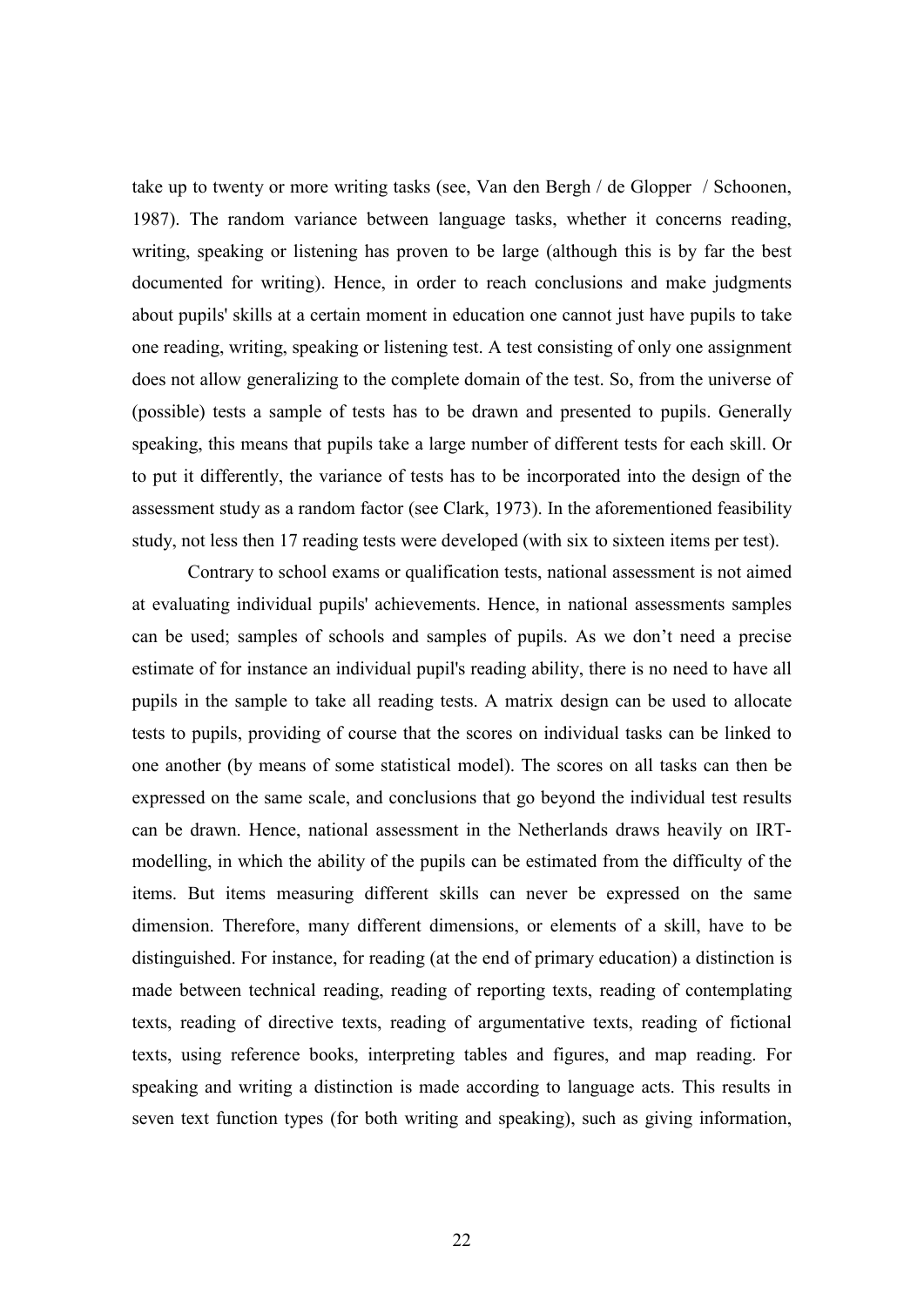take up to twenty or more writing tasks (see, Van den Bergh / de Glopper / Schoonen, 1987). The random variance between language tasks, whether it concerns reading, writing, speaking or listening has proven to be large (although this is by far the best documented for writing). Hence, in order to reach conclusions and make judgments about pupils' skills at a certain moment in education one cannot just have pupils to take one reading, writing, speaking or listening test. A test consisting of only one assignment does not allow generalizing to the complete domain of the test. So, from the universe of (possible) tests a sample of tests has to be drawn and presented to pupils. Generally speaking, this means that pupils take a large number of different tests for each skill. Or to put it differently, the variance of tests has to be incorporated into the design of the assessment study as a random factor (see Clark, 1973). In the aforementioned feasibility study, not less then 17 reading tests were developed (with six to sixteen items per test).

Contrary to school exams or qualification tests, national assessment is not aimed at evaluating individual pupils' achievements. Hence, in national assessments samples can be used; samples of schools and samples of pupils. As we don't need a precise estimate of for instance an individual pupil's reading ability, there is no need to have all pupils in the sample to take all reading tests. A matrix design can be used to allocate tests to pupils, providing of course that the scores on individual tasks can be linked to one another (by means of some statistical model). The scores on all tasks can then be expressed on the same scale, and conclusions that go beyond the individual test results can be drawn. Hence, national assessment in the Netherlands draws heavily on IRTmodelling, in which the ability of the pupils can be estimated from the difficulty of the items. But items measuring different skills can never be expressed on the same dimension. Therefore, many different dimensions, or elements of a skill, have to be distinguished. For instance, for reading (at the end of primary education) a distinction is made between technical reading, reading of reporting texts, reading of contemplating texts, reading of directive texts, reading of argumentative texts, reading of fictional texts, using reference books, interpreting tables and figures, and map reading. For speaking and writing a distinction is made according to language acts. This results in seven text function types (for both writing and speaking), such as giving information,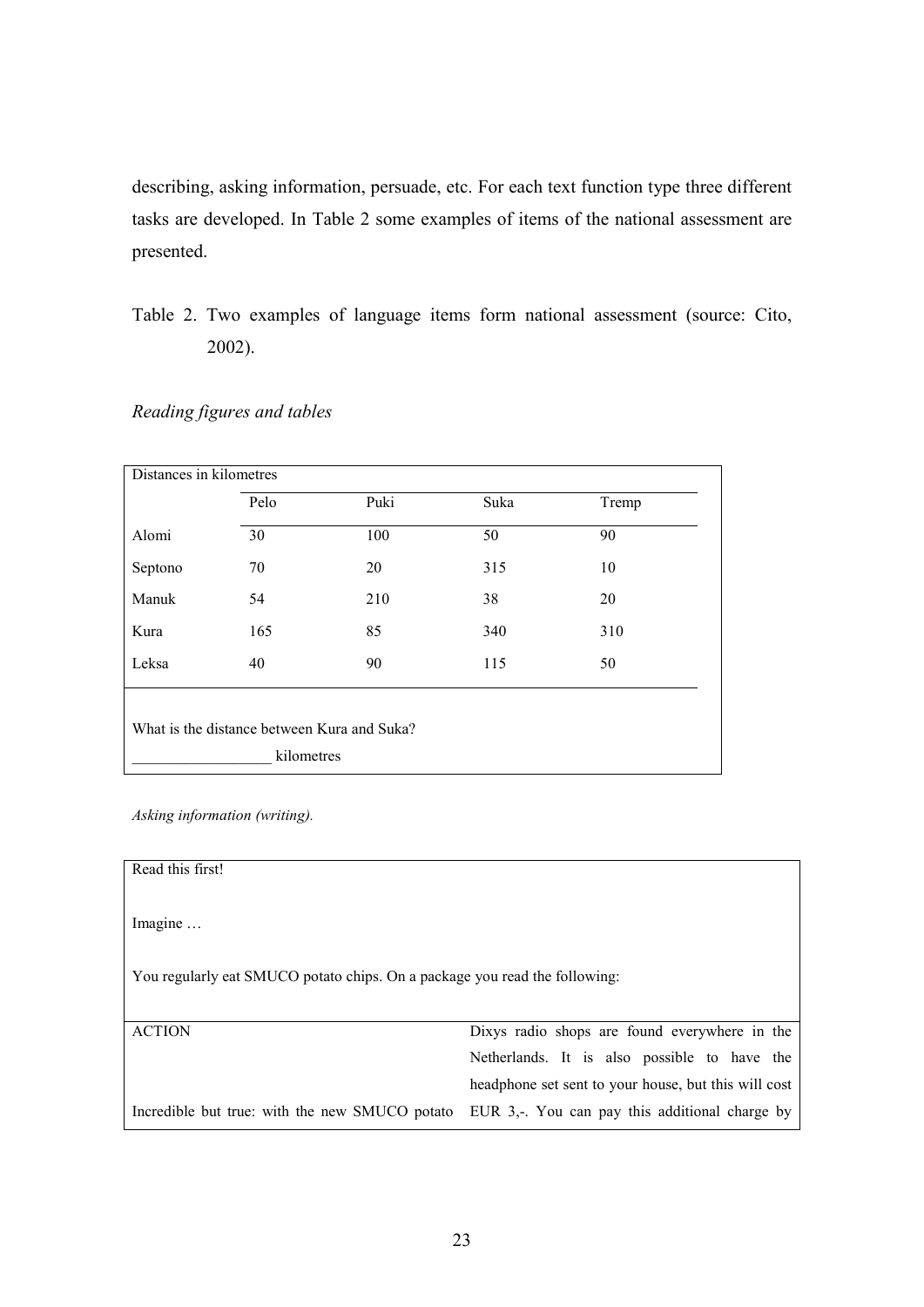describing, asking information, persuade, etc. For each text function type three different tasks are developed. In Table 2 some examples of items of the national assessment are presented.

Table 2. Two examples of language items form national assessment (source: Cito, 2002).

# Reading figures and tables

| Distances in kilometres                                   |      |      |      |       |  |
|-----------------------------------------------------------|------|------|------|-------|--|
|                                                           | Pelo | Puki | Suka | Tremp |  |
| Alomi                                                     | 30   | 100  | 50   | 90    |  |
| Septono                                                   | 70   | 20   | 315  | 10    |  |
| Manuk                                                     | 54   | 210  | 38   | 20    |  |
| Kura                                                      | 165  | 85   | 340  | 310   |  |
| Leksa                                                     | 40   | 90   | 115  | 50    |  |
| What is the distance between Kura and Suka?<br>kilometres |      |      |      |       |  |

Asking information (writing).

| Read this first!                                                           |                                                      |  |  |  |  |
|----------------------------------------------------------------------------|------------------------------------------------------|--|--|--|--|
| Imagine                                                                    |                                                      |  |  |  |  |
| You regularly eat SMUCO potato chips. On a package you read the following: |                                                      |  |  |  |  |
| <b>ACTION</b>                                                              | Dixys radio shops are found everywhere in the        |  |  |  |  |
|                                                                            | Netherlands. It is also possible to have the         |  |  |  |  |
|                                                                            | headphone set sent to your house, but this will cost |  |  |  |  |
| Incredible but true: with the new SMUCO potato                             | EUR 3,-. You can pay this additional charge by       |  |  |  |  |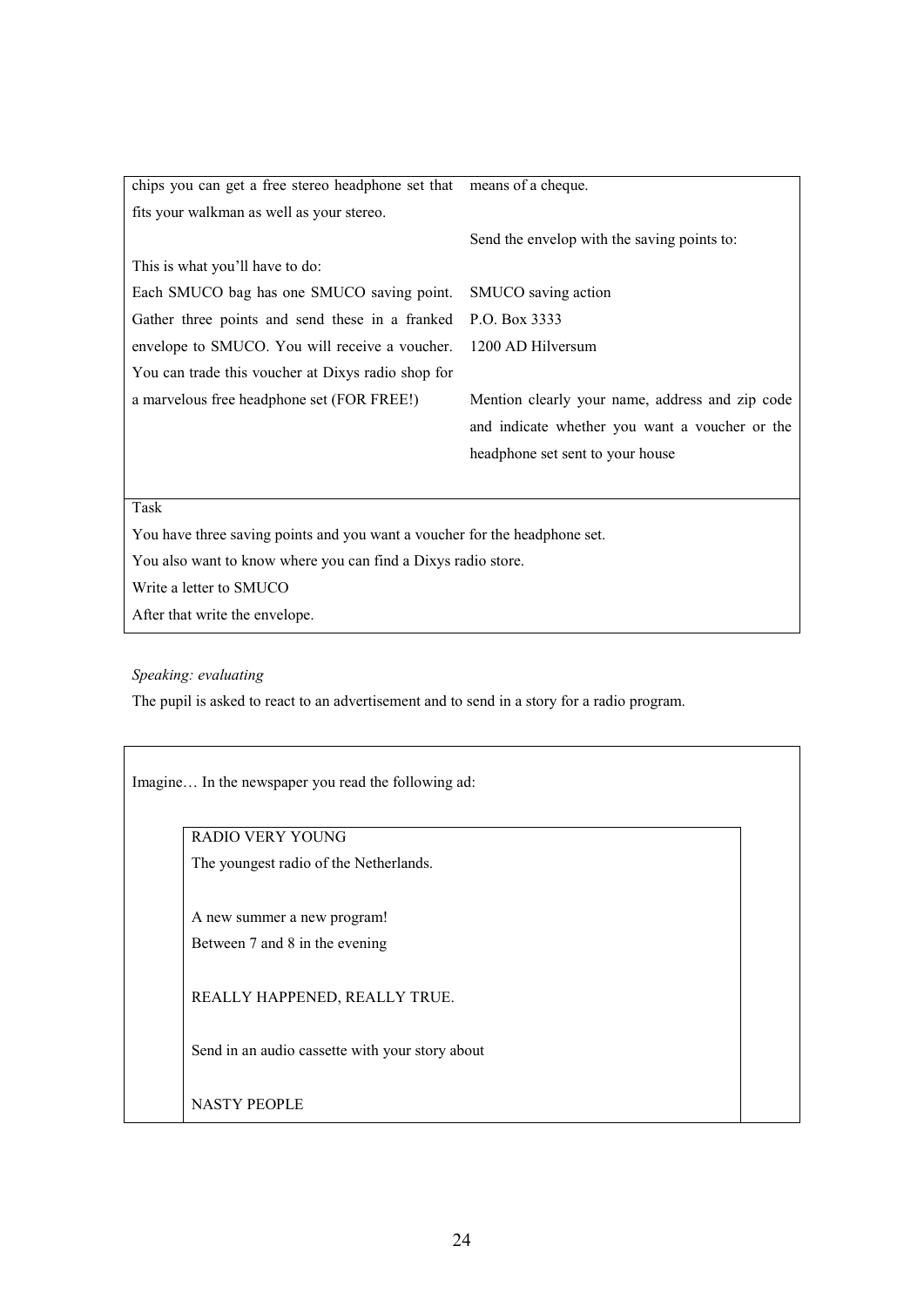| chips you can get a free stereo headphone set that                         | means of a cheque.                              |
|----------------------------------------------------------------------------|-------------------------------------------------|
| fits your walkman as well as your stereo.                                  |                                                 |
|                                                                            | Send the envelop with the saving points to:     |
| This is what you'll have to do:                                            |                                                 |
| Each SMUCO bag has one SMUCO saving point.                                 | SMUCO saving action                             |
| Gather three points and send these in a franked                            | P.O. Box 3333                                   |
| envelope to SMUCO. You will receive a voucher.                             | 1200 AD Hilversum                               |
| You can trade this voucher at Dixys radio shop for                         |                                                 |
| a marvelous free headphone set (FOR FREE!)                                 | Mention clearly your name, address and zip code |
|                                                                            | and indicate whether you want a voucher or the  |
|                                                                            | headphone set sent to your house                |
|                                                                            |                                                 |
| Task                                                                       |                                                 |
| You have three saving points and you want a voucher for the headphone set. |                                                 |
| You also want to know where you can find a Dixys radio store.              |                                                 |

Write a letter to SMUCO

After that write the envelope.

#### Speaking: evaluating

The pupil is asked to react to an advertisement and to send in a story for a radio program.

Imagine… In the newspaper you read the following ad:

RADIO VERY YOUNG

The youngest radio of the Netherlands.

A new summer a new program! Between 7 and 8 in the evening

REALLY HAPPENED, REALLY TRUE.

Send in an audio cassette with your story about

NASTY PEOPLE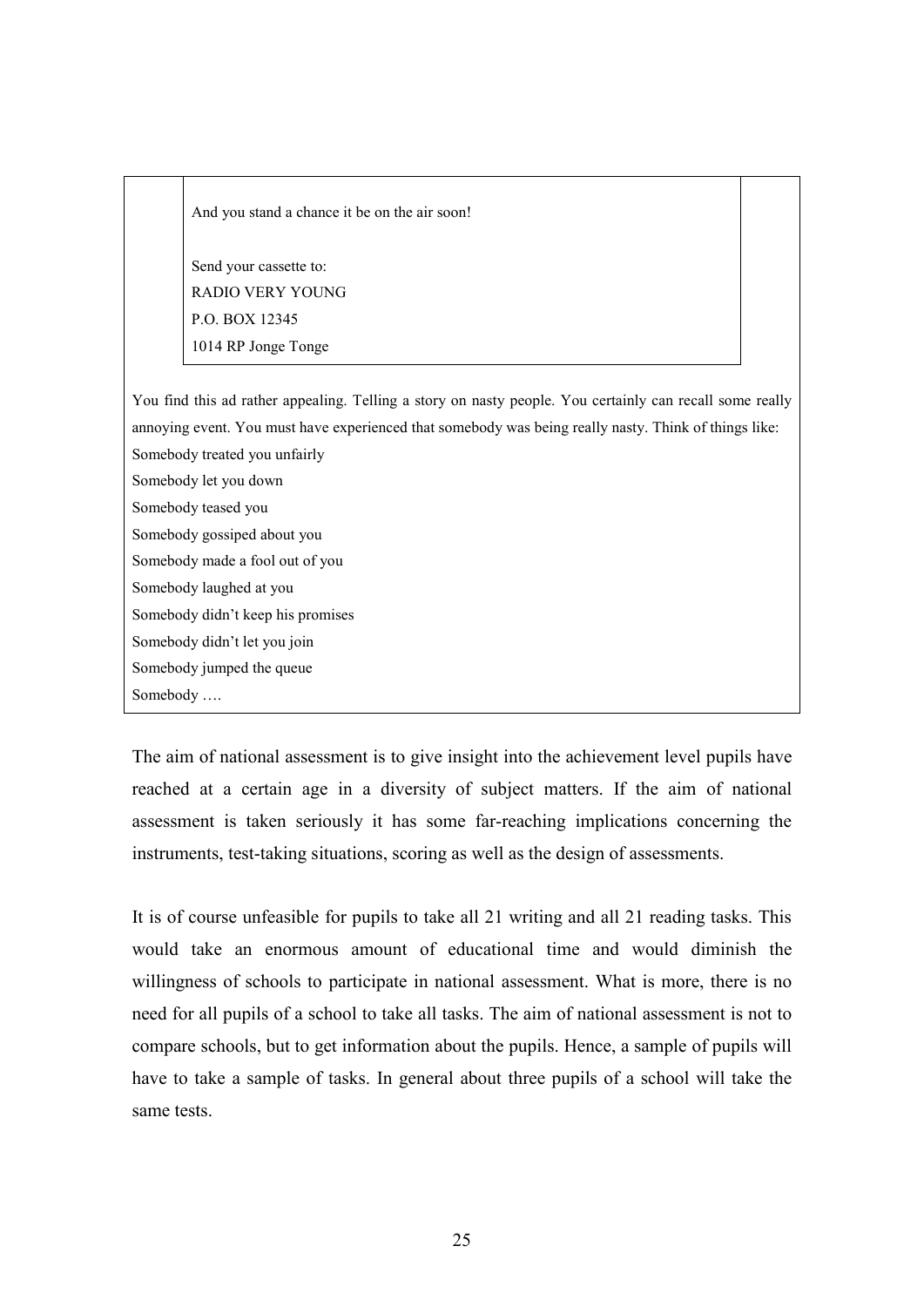And you stand a chance it be on the air soon!

Send your cassette to: RADIO VERY YOUNG P.O. BOX 12345 1014 RP Jonge Tonge

You find this ad rather appealing. Telling a story on nasty people. You certainly can recall some really annoying event. You must have experienced that somebody was being really nasty. Think of things like: Somebody treated you unfairly

- Somebody let you down
- Somebody teased you
- Somebody gossiped about you
- Somebody made a fool out of you
- Somebody laughed at you
- Somebody didn't keep his promises
- Somebody didn't let you join
- Somebody jumped the queue
- Somebody ….

The aim of national assessment is to give insight into the achievement level pupils have reached at a certain age in a diversity of subject matters. If the aim of national assessment is taken seriously it has some far-reaching implications concerning the instruments, test-taking situations, scoring as well as the design of assessments.

It is of course unfeasible for pupils to take all 21 writing and all 21 reading tasks. This would take an enormous amount of educational time and would diminish the willingness of schools to participate in national assessment. What is more, there is no need for all pupils of a school to take all tasks. The aim of national assessment is not to compare schools, but to get information about the pupils. Hence, a sample of pupils will have to take a sample of tasks. In general about three pupils of a school will take the same tests.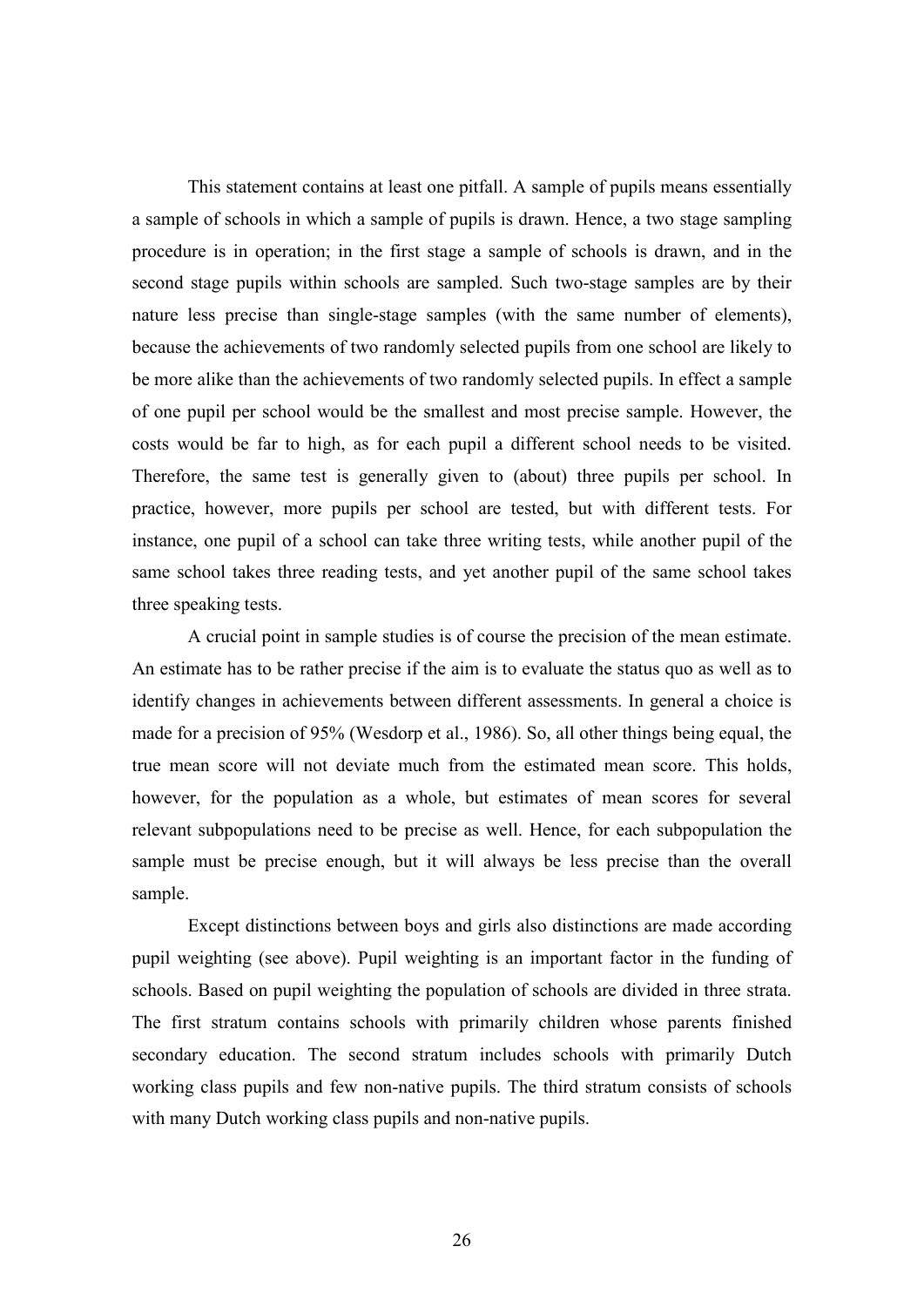This statement contains at least one pitfall. A sample of pupils means essentially a sample of schools in which a sample of pupils is drawn. Hence, a two stage sampling procedure is in operation; in the first stage a sample of schools is drawn, and in the second stage pupils within schools are sampled. Such two-stage samples are by their nature less precise than single-stage samples (with the same number of elements), because the achievements of two randomly selected pupils from one school are likely to be more alike than the achievements of two randomly selected pupils. In effect a sample of one pupil per school would be the smallest and most precise sample. However, the costs would be far to high, as for each pupil a different school needs to be visited. Therefore, the same test is generally given to (about) three pupils per school. In practice, however, more pupils per school are tested, but with different tests. For instance, one pupil of a school can take three writing tests, while another pupil of the same school takes three reading tests, and yet another pupil of the same school takes three speaking tests.

A crucial point in sample studies is of course the precision of the mean estimate. An estimate has to be rather precise if the aim is to evaluate the status quo as well as to identify changes in achievements between different assessments. In general a choice is made for a precision of 95% (Wesdorp et al., 1986). So, all other things being equal, the true mean score will not deviate much from the estimated mean score. This holds, however, for the population as a whole, but estimates of mean scores for several relevant subpopulations need to be precise as well. Hence, for each subpopulation the sample must be precise enough, but it will always be less precise than the overall sample.

Except distinctions between boys and girls also distinctions are made according pupil weighting (see above). Pupil weighting is an important factor in the funding of schools. Based on pupil weighting the population of schools are divided in three strata. The first stratum contains schools with primarily children whose parents finished secondary education. The second stratum includes schools with primarily Dutch working class pupils and few non-native pupils. The third stratum consists of schools with many Dutch working class pupils and non-native pupils.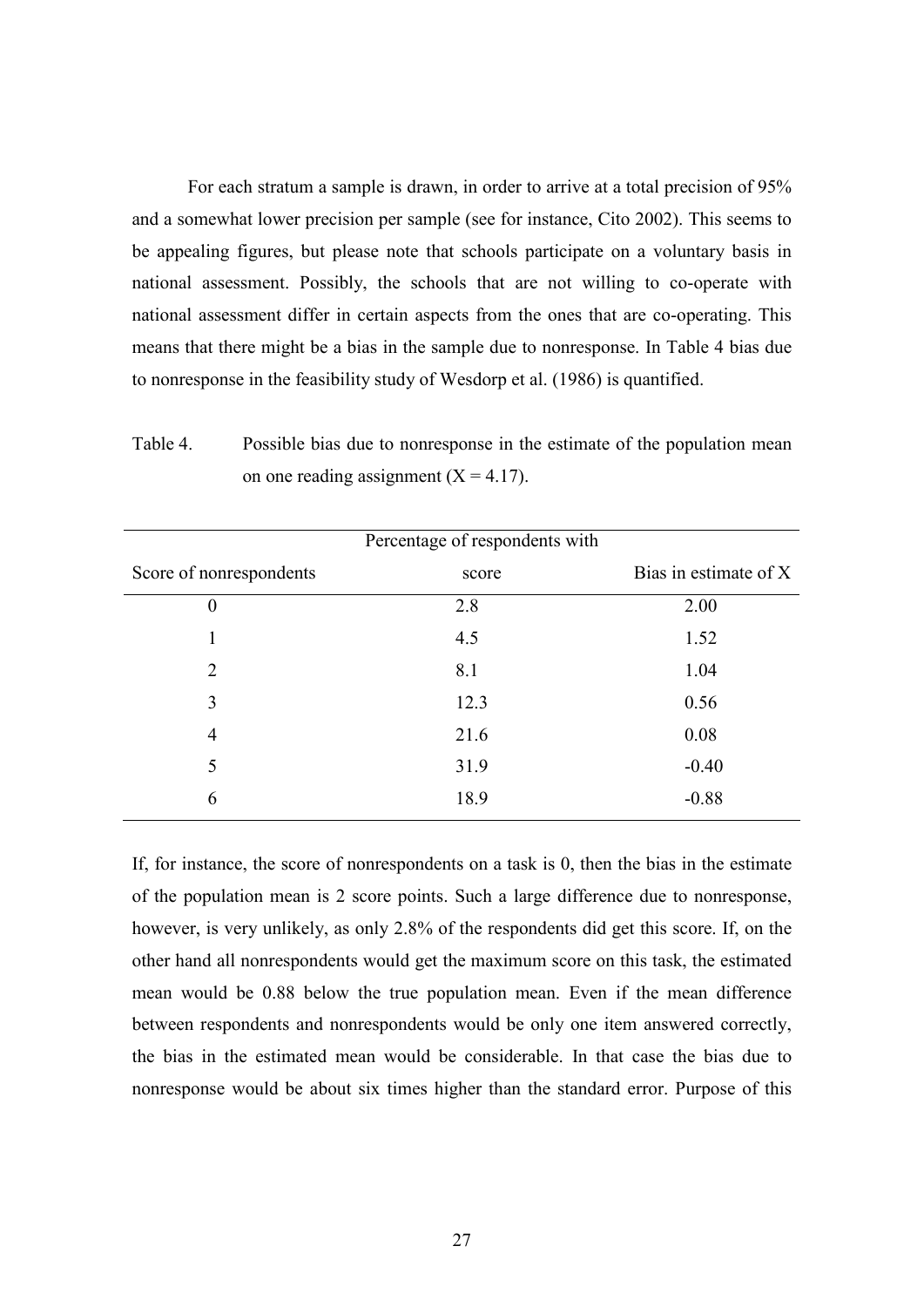For each stratum a sample is drawn, in order to arrive at a total precision of 95% and a somewhat lower precision per sample (see for instance, Cito 2002). This seems to be appealing figures, but please note that schools participate on a voluntary basis in national assessment. Possibly, the schools that are not willing to co-operate with national assessment differ in certain aspects from the ones that are co-operating. This means that there might be a bias in the sample due to nonresponse. In Table 4 bias due to nonresponse in the feasibility study of Wesdorp et al. (1986) is quantified.

Table 4. Possible bias due to nonresponse in the estimate of the population mean on one reading assignment  $(X = 4.17)$ .

|                         | Percentage of respondents with |                       |
|-------------------------|--------------------------------|-----------------------|
| Score of nonrespondents | score                          | Bias in estimate of X |
| $\theta$                | 2.8                            | 2.00                  |
|                         | 4.5                            | 1.52                  |
| 2                       | 8.1                            | 1.04                  |
| 3                       | 12.3                           | 0.56                  |
| 4                       | 21.6                           | 0.08                  |
| 5                       | 31.9                           | $-0.40$               |
| 6                       | 18.9                           | $-0.88$               |
|                         |                                |                       |

If, for instance, the score of nonrespondents on a task is 0, then the bias in the estimate of the population mean is 2 score points. Such a large difference due to nonresponse, however, is very unlikely, as only 2.8% of the respondents did get this score. If, on the other hand all nonrespondents would get the maximum score on this task, the estimated mean would be 0.88 below the true population mean. Even if the mean difference between respondents and nonrespondents would be only one item answered correctly, the bias in the estimated mean would be considerable. In that case the bias due to nonresponse would be about six times higher than the standard error. Purpose of this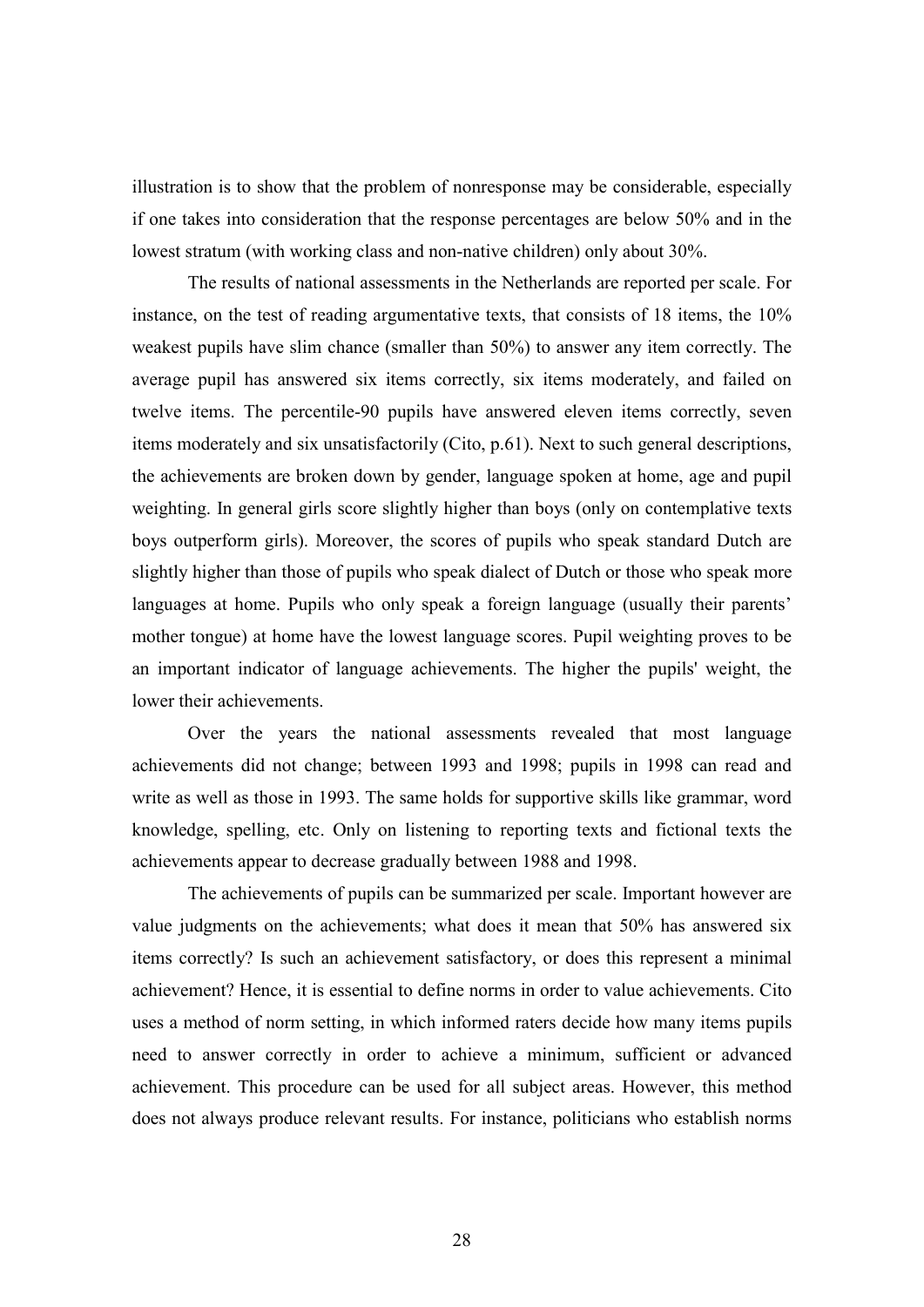illustration is to show that the problem of nonresponse may be considerable, especially if one takes into consideration that the response percentages are below 50% and in the lowest stratum (with working class and non-native children) only about 30%.

 The results of national assessments in the Netherlands are reported per scale. For instance, on the test of reading argumentative texts, that consists of 18 items, the 10% weakest pupils have slim chance (smaller than 50%) to answer any item correctly. The average pupil has answered six items correctly, six items moderately, and failed on twelve items. The percentile-90 pupils have answered eleven items correctly, seven items moderately and six unsatisfactorily (Cito, p.61). Next to such general descriptions, the achievements are broken down by gender, language spoken at home, age and pupil weighting. In general girls score slightly higher than boys (only on contemplative texts boys outperform girls). Moreover, the scores of pupils who speak standard Dutch are slightly higher than those of pupils who speak dialect of Dutch or those who speak more languages at home. Pupils who only speak a foreign language (usually their parents' mother tongue) at home have the lowest language scores. Pupil weighting proves to be an important indicator of language achievements. The higher the pupils' weight, the lower their achievements.

 Over the years the national assessments revealed that most language achievements did not change; between 1993 and 1998; pupils in 1998 can read and write as well as those in 1993. The same holds for supportive skills like grammar, word knowledge, spelling, etc. Only on listening to reporting texts and fictional texts the achievements appear to decrease gradually between 1988 and 1998.

 The achievements of pupils can be summarized per scale. Important however are value judgments on the achievements; what does it mean that 50% has answered six items correctly? Is such an achievement satisfactory, or does this represent a minimal achievement? Hence, it is essential to define norms in order to value achievements. Cito uses a method of norm setting, in which informed raters decide how many items pupils need to answer correctly in order to achieve a minimum, sufficient or advanced achievement. This procedure can be used for all subject areas. However, this method does not always produce relevant results. For instance, politicians who establish norms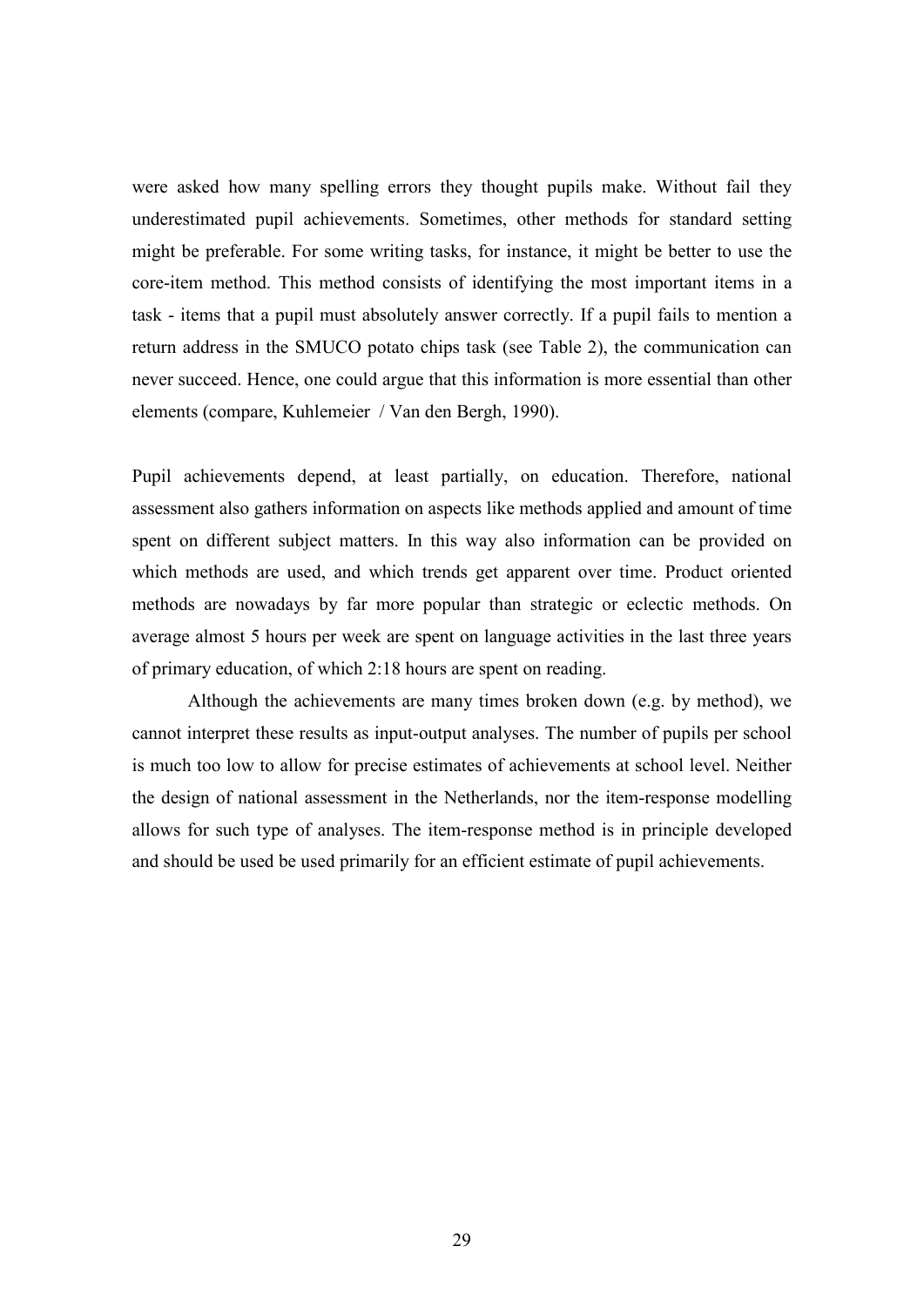were asked how many spelling errors they thought pupils make. Without fail they underestimated pupil achievements. Sometimes, other methods for standard setting might be preferable. For some writing tasks, for instance, it might be better to use the core-item method. This method consists of identifying the most important items in a task - items that a pupil must absolutely answer correctly. If a pupil fails to mention a return address in the SMUCO potato chips task (see Table 2), the communication can never succeed. Hence, one could argue that this information is more essential than other elements (compare, Kuhlemeier / Van den Bergh, 1990).

Pupil achievements depend, at least partially, on education. Therefore, national assessment also gathers information on aspects like methods applied and amount of time spent on different subject matters. In this way also information can be provided on which methods are used, and which trends get apparent over time. Product oriented methods are nowadays by far more popular than strategic or eclectic methods. On average almost 5 hours per week are spent on language activities in the last three years of primary education, of which 2:18 hours are spent on reading.

 Although the achievements are many times broken down (e.g. by method), we cannot interpret these results as input-output analyses. The number of pupils per school is much too low to allow for precise estimates of achievements at school level. Neither the design of national assessment in the Netherlands, nor the item-response modelling allows for such type of analyses. The item-response method is in principle developed and should be used be used primarily for an efficient estimate of pupil achievements.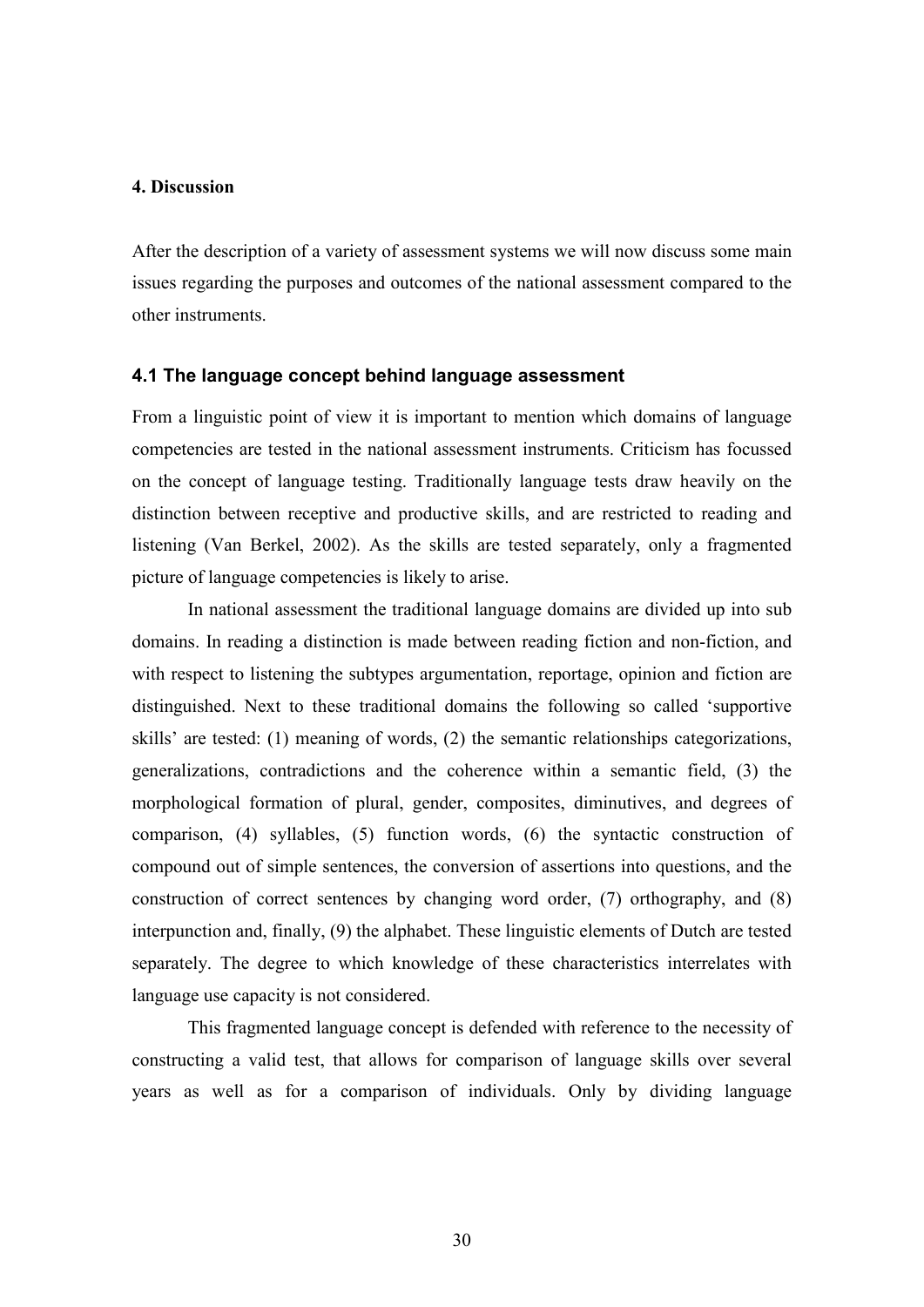#### 4. Discussion

After the description of a variety of assessment systems we will now discuss some main issues regarding the purposes and outcomes of the national assessment compared to the other instruments.

#### 4.1 The language concept behind language assessment

From a linguistic point of view it is important to mention which domains of language competencies are tested in the national assessment instruments. Criticism has focussed on the concept of language testing. Traditionally language tests draw heavily on the distinction between receptive and productive skills, and are restricted to reading and listening (Van Berkel, 2002). As the skills are tested separately, only a fragmented picture of language competencies is likely to arise.

In national assessment the traditional language domains are divided up into sub domains. In reading a distinction is made between reading fiction and non-fiction, and with respect to listening the subtypes argumentation, reportage, opinion and fiction are distinguished. Next to these traditional domains the following so called 'supportive skills' are tested: (1) meaning of words, (2) the semantic relationships categorizations, generalizations, contradictions and the coherence within a semantic field, (3) the morphological formation of plural, gender, composites, diminutives, and degrees of comparison, (4) syllables, (5) function words, (6) the syntactic construction of compound out of simple sentences, the conversion of assertions into questions, and the construction of correct sentences by changing word order, (7) orthography, and (8) interpunction and, finally, (9) the alphabet. These linguistic elements of Dutch are tested separately. The degree to which knowledge of these characteristics interrelates with language use capacity is not considered.

This fragmented language concept is defended with reference to the necessity of constructing a valid test, that allows for comparison of language skills over several years as well as for a comparison of individuals. Only by dividing language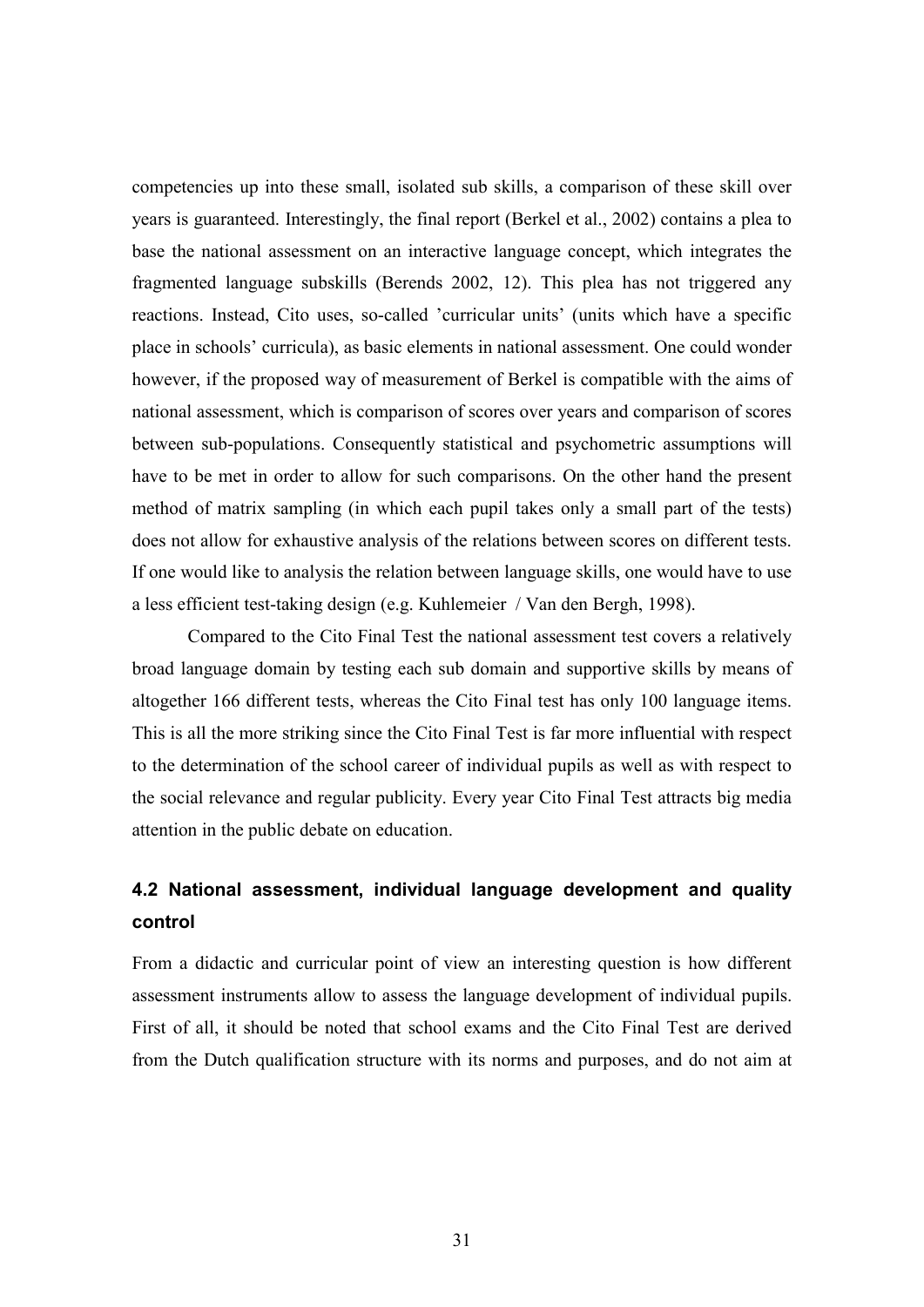competencies up into these small, isolated sub skills, a comparison of these skill over years is guaranteed. Interestingly, the final report (Berkel et al., 2002) contains a plea to base the national assessment on an interactive language concept, which integrates the fragmented language subskills (Berends 2002, 12). This plea has not triggered any reactions. Instead, Cito uses, so-called 'curricular units' (units which have a specific place in schools' curricula), as basic elements in national assessment. One could wonder however, if the proposed way of measurement of Berkel is compatible with the aims of national assessment, which is comparison of scores over years and comparison of scores between sub-populations. Consequently statistical and psychometric assumptions will have to be met in order to allow for such comparisons. On the other hand the present method of matrix sampling (in which each pupil takes only a small part of the tests) does not allow for exhaustive analysis of the relations between scores on different tests. If one would like to analysis the relation between language skills, one would have to use a less efficient test-taking design (e.g. Kuhlemeier / Van den Bergh, 1998).

Compared to the Cito Final Test the national assessment test covers a relatively broad language domain by testing each sub domain and supportive skills by means of altogether 166 different tests, whereas the Cito Final test has only 100 language items. This is all the more striking since the Cito Final Test is far more influential with respect to the determination of the school career of individual pupils as well as with respect to the social relevance and regular publicity. Every year Cito Final Test attracts big media attention in the public debate on education.

# 4.2 National assessment, individual language development and quality control

From a didactic and curricular point of view an interesting question is how different assessment instruments allow to assess the language development of individual pupils. First of all, it should be noted that school exams and the Cito Final Test are derived from the Dutch qualification structure with its norms and purposes, and do not aim at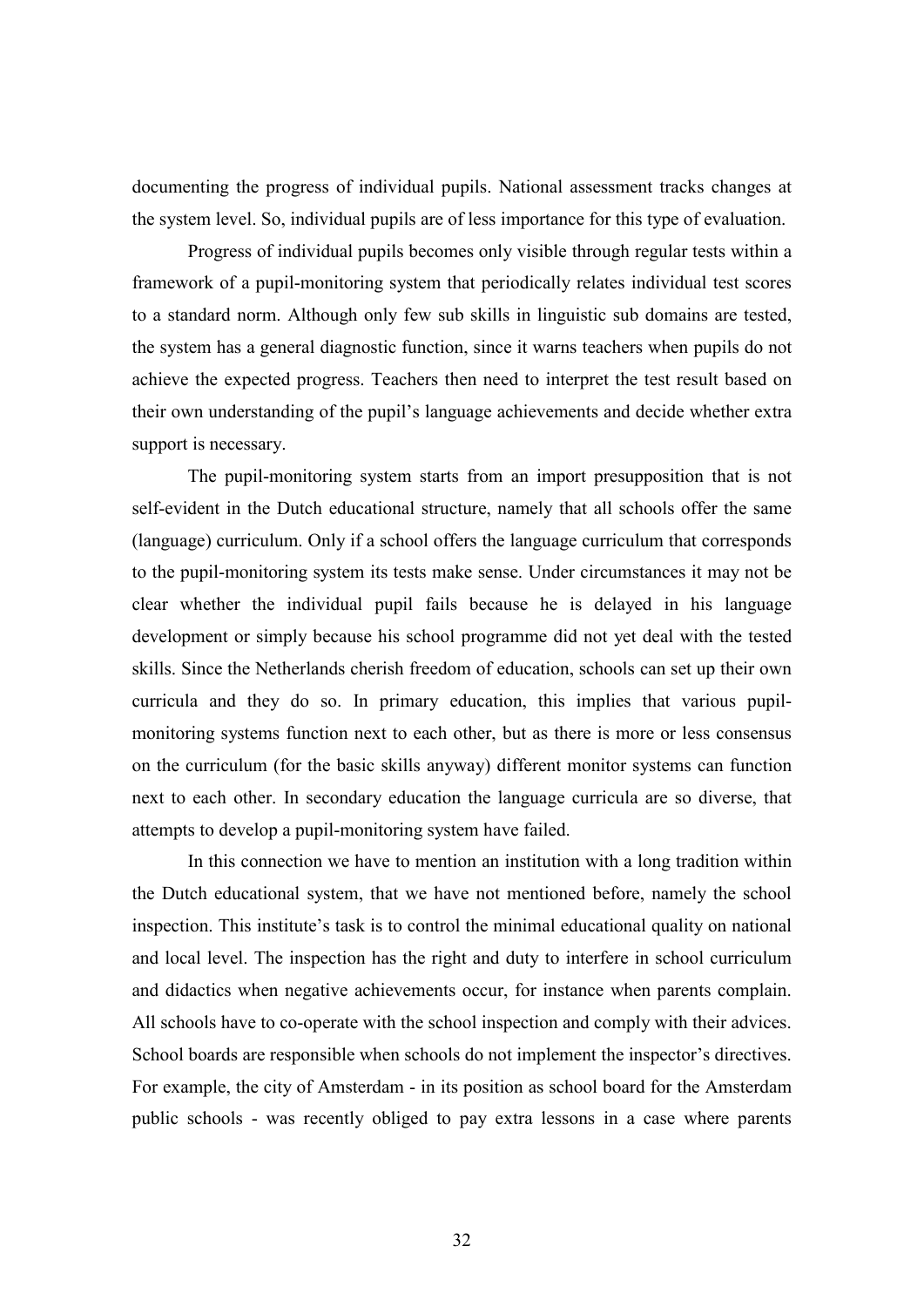documenting the progress of individual pupils. National assessment tracks changes at the system level. So, individual pupils are of less importance for this type of evaluation.

Progress of individual pupils becomes only visible through regular tests within a framework of a pupil-monitoring system that periodically relates individual test scores to a standard norm. Although only few sub skills in linguistic sub domains are tested, the system has a general diagnostic function, since it warns teachers when pupils do not achieve the expected progress. Teachers then need to interpret the test result based on their own understanding of the pupil's language achievements and decide whether extra support is necessary.

The pupil-monitoring system starts from an import presupposition that is not self-evident in the Dutch educational structure, namely that all schools offer the same (language) curriculum. Only if a school offers the language curriculum that corresponds to the pupil-monitoring system its tests make sense. Under circumstances it may not be clear whether the individual pupil fails because he is delayed in his language development or simply because his school programme did not yet deal with the tested skills. Since the Netherlands cherish freedom of education, schools can set up their own curricula and they do so. In primary education, this implies that various pupilmonitoring systems function next to each other, but as there is more or less consensus on the curriculum (for the basic skills anyway) different monitor systems can function next to each other. In secondary education the language curricula are so diverse, that attempts to develop a pupil-monitoring system have failed.

In this connection we have to mention an institution with a long tradition within the Dutch educational system, that we have not mentioned before, namely the school inspection. This institute's task is to control the minimal educational quality on national and local level. The inspection has the right and duty to interfere in school curriculum and didactics when negative achievements occur, for instance when parents complain. All schools have to co-operate with the school inspection and comply with their advices. School boards are responsible when schools do not implement the inspector's directives. For example, the city of Amsterdam - in its position as school board for the Amsterdam public schools - was recently obliged to pay extra lessons in a case where parents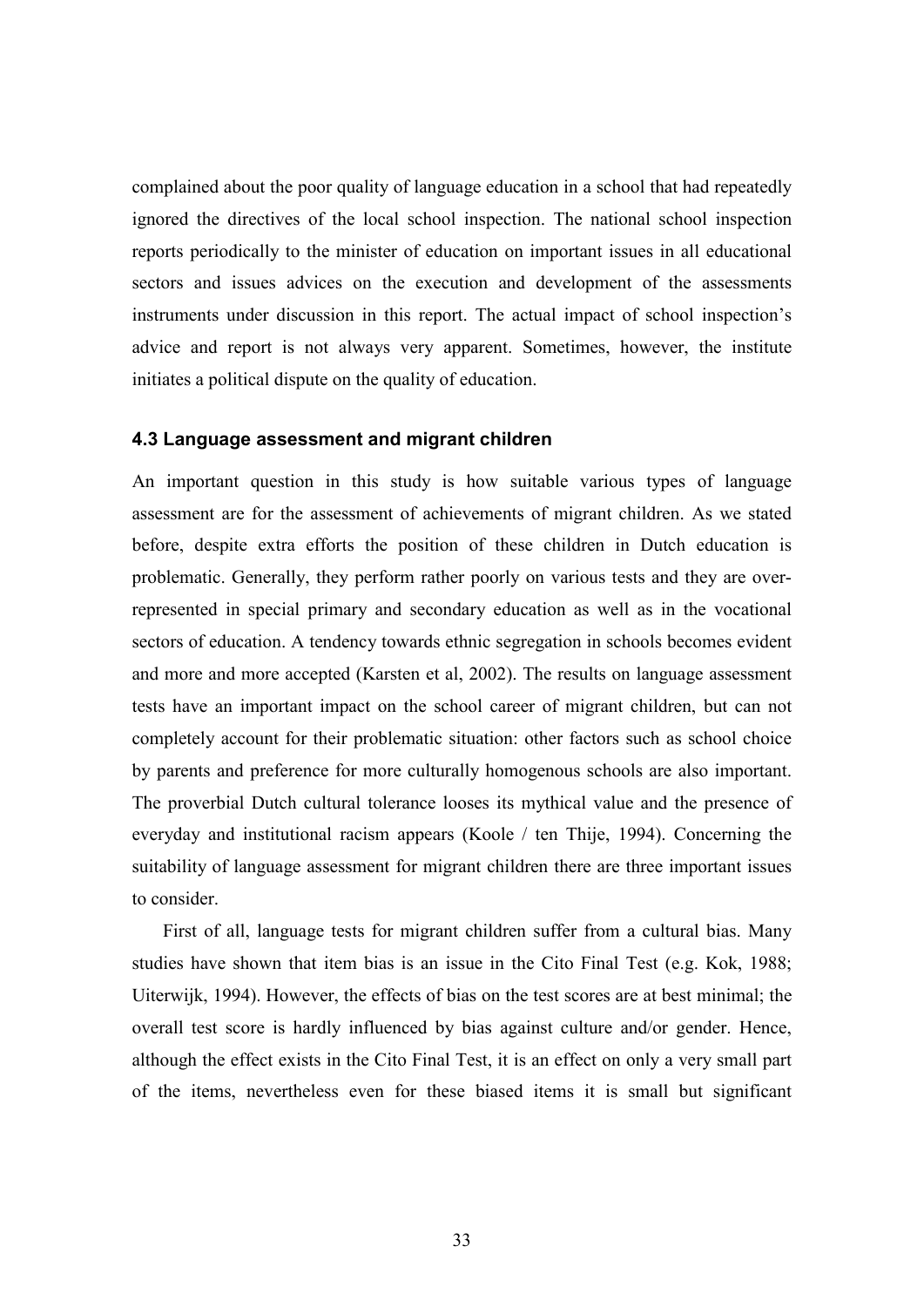complained about the poor quality of language education in a school that had repeatedly ignored the directives of the local school inspection. The national school inspection reports periodically to the minister of education on important issues in all educational sectors and issues advices on the execution and development of the assessments instruments under discussion in this report. The actual impact of school inspection's advice and report is not always very apparent. Sometimes, however, the institute initiates a political dispute on the quality of education.

#### 4.3 Language assessment and migrant children

An important question in this study is how suitable various types of language assessment are for the assessment of achievements of migrant children. As we stated before, despite extra efforts the position of these children in Dutch education is problematic. Generally, they perform rather poorly on various tests and they are overrepresented in special primary and secondary education as well as in the vocational sectors of education. A tendency towards ethnic segregation in schools becomes evident and more and more accepted (Karsten et al, 2002). The results on language assessment tests have an important impact on the school career of migrant children, but can not completely account for their problematic situation: other factors such as school choice by parents and preference for more culturally homogenous schools are also important. The proverbial Dutch cultural tolerance looses its mythical value and the presence of everyday and institutional racism appears (Koole / ten Thije, 1994). Concerning the suitability of language assessment for migrant children there are three important issues to consider.

First of all, language tests for migrant children suffer from a cultural bias. Many studies have shown that item bias is an issue in the Cito Final Test (e.g. Kok, 1988; Uiterwijk, 1994). However, the effects of bias on the test scores are at best minimal; the overall test score is hardly influenced by bias against culture and/or gender. Hence, although the effect exists in the Cito Final Test, it is an effect on only a very small part of the items, nevertheless even for these biased items it is small but significant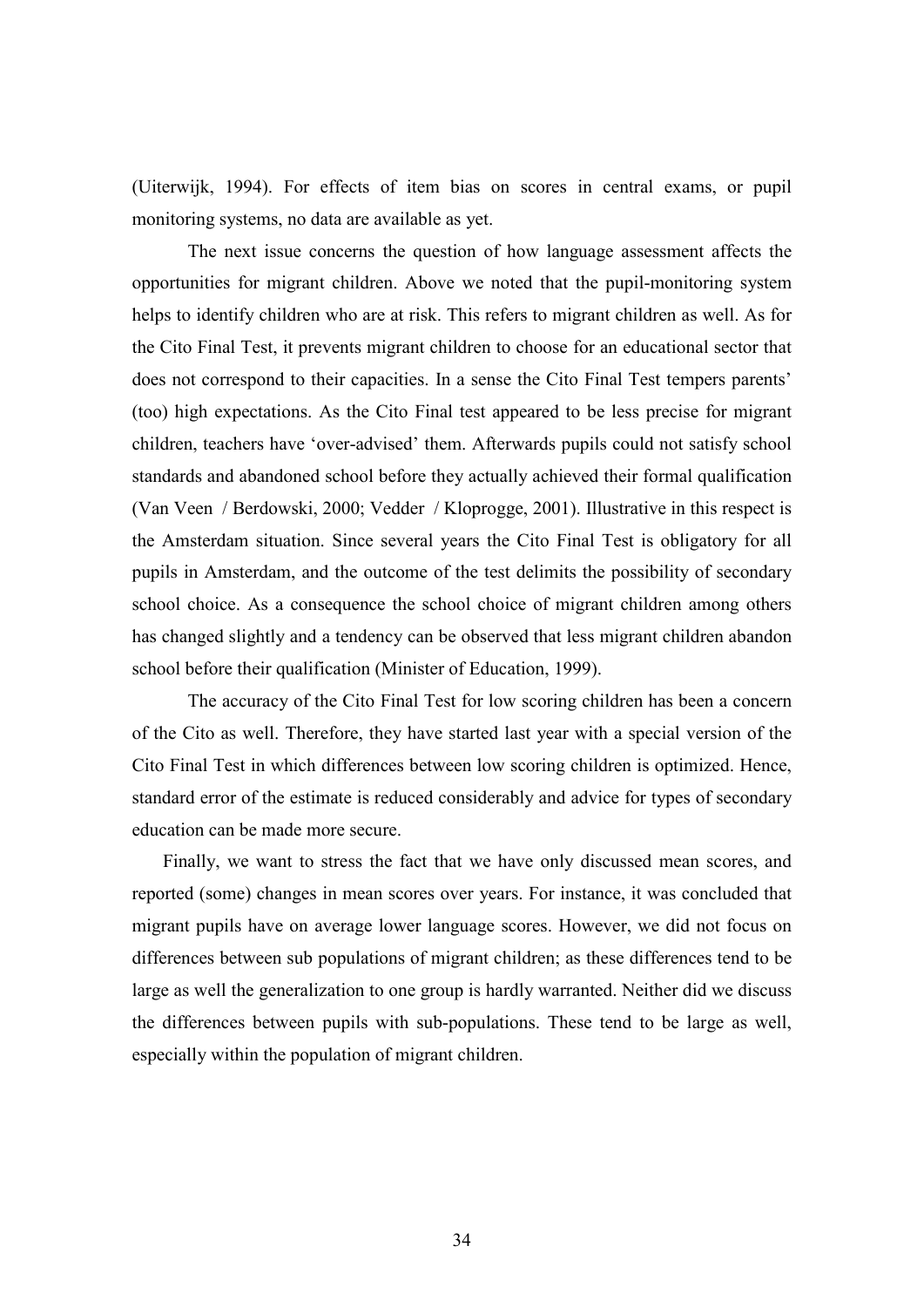(Uiterwijk, 1994). For effects of item bias on scores in central exams, or pupil monitoring systems, no data are available as yet.

 The next issue concerns the question of how language assessment affects the opportunities for migrant children. Above we noted that the pupil-monitoring system helps to identify children who are at risk. This refers to migrant children as well. As for the Cito Final Test, it prevents migrant children to choose for an educational sector that does not correspond to their capacities. In a sense the Cito Final Test tempers parents' (too) high expectations. As the Cito Final test appeared to be less precise for migrant children, teachers have 'over-advised' them. Afterwards pupils could not satisfy school standards and abandoned school before they actually achieved their formal qualification (Van Veen / Berdowski, 2000; Vedder / Kloprogge, 2001). Illustrative in this respect is the Amsterdam situation. Since several years the Cito Final Test is obligatory for all pupils in Amsterdam, and the outcome of the test delimits the possibility of secondary school choice. As a consequence the school choice of migrant children among others has changed slightly and a tendency can be observed that less migrant children abandon school before their qualification (Minister of Education, 1999).

 The accuracy of the Cito Final Test for low scoring children has been a concern of the Cito as well. Therefore, they have started last year with a special version of the Cito Final Test in which differences between low scoring children is optimized. Hence, standard error of the estimate is reduced considerably and advice for types of secondary education can be made more secure.

Finally, we want to stress the fact that we have only discussed mean scores, and reported (some) changes in mean scores over years. For instance, it was concluded that migrant pupils have on average lower language scores. However, we did not focus on differences between sub populations of migrant children; as these differences tend to be large as well the generalization to one group is hardly warranted. Neither did we discuss the differences between pupils with sub-populations. These tend to be large as well, especially within the population of migrant children.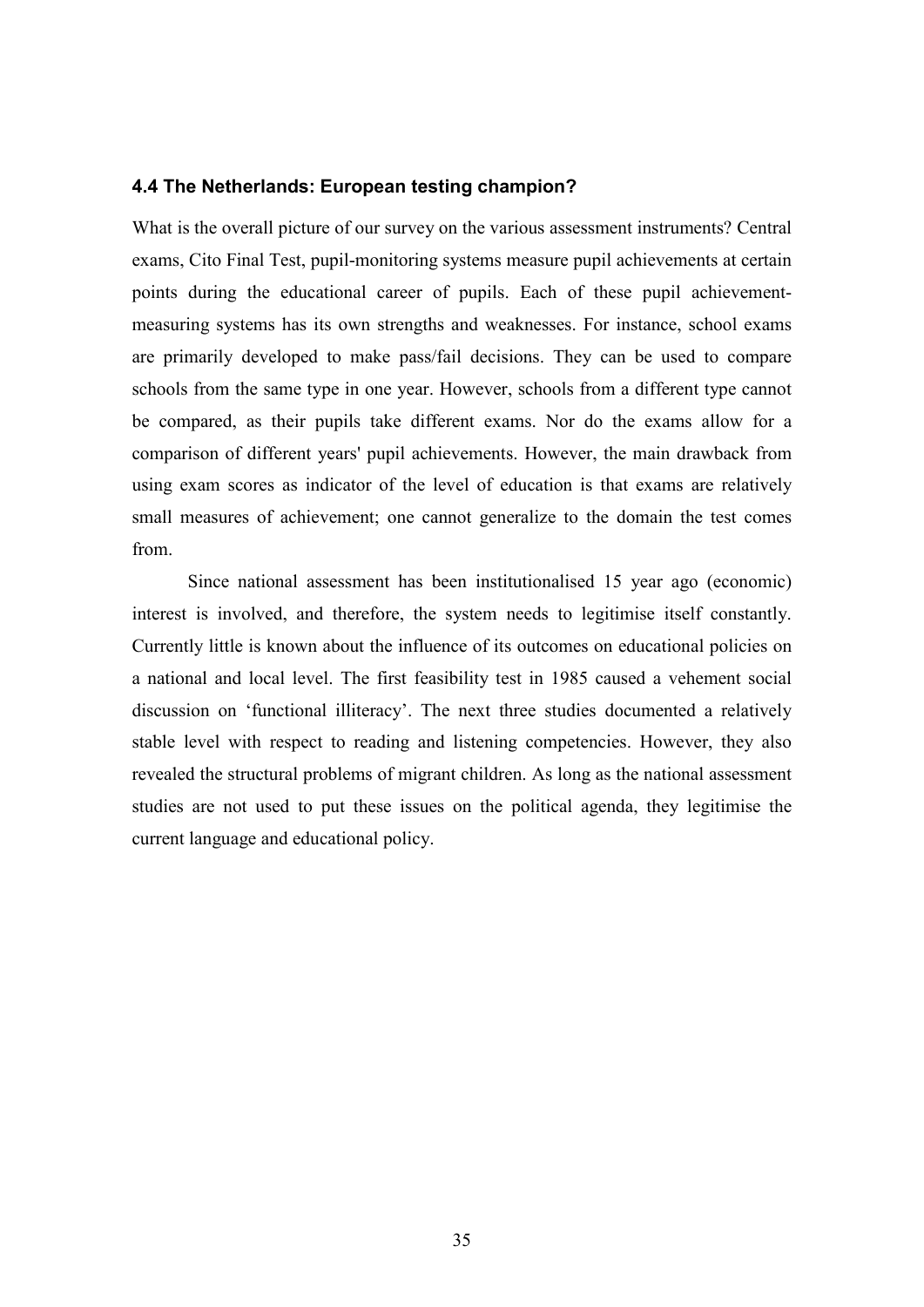## 4.4 The Netherlands: European testing champion?

What is the overall picture of our survey on the various assessment instruments? Central exams, Cito Final Test, pupil-monitoring systems measure pupil achievements at certain points during the educational career of pupils. Each of these pupil achievementmeasuring systems has its own strengths and weaknesses. For instance, school exams are primarily developed to make pass/fail decisions. They can be used to compare schools from the same type in one year. However, schools from a different type cannot be compared, as their pupils take different exams. Nor do the exams allow for a comparison of different years' pupil achievements. However, the main drawback from using exam scores as indicator of the level of education is that exams are relatively small measures of achievement; one cannot generalize to the domain the test comes from.

 Since national assessment has been institutionalised 15 year ago (economic) interest is involved, and therefore, the system needs to legitimise itself constantly. Currently little is known about the influence of its outcomes on educational policies on a national and local level. The first feasibility test in 1985 caused a vehement social discussion on 'functional illiteracy'. The next three studies documented a relatively stable level with respect to reading and listening competencies. However, they also revealed the structural problems of migrant children. As long as the national assessment studies are not used to put these issues on the political agenda, they legitimise the current language and educational policy.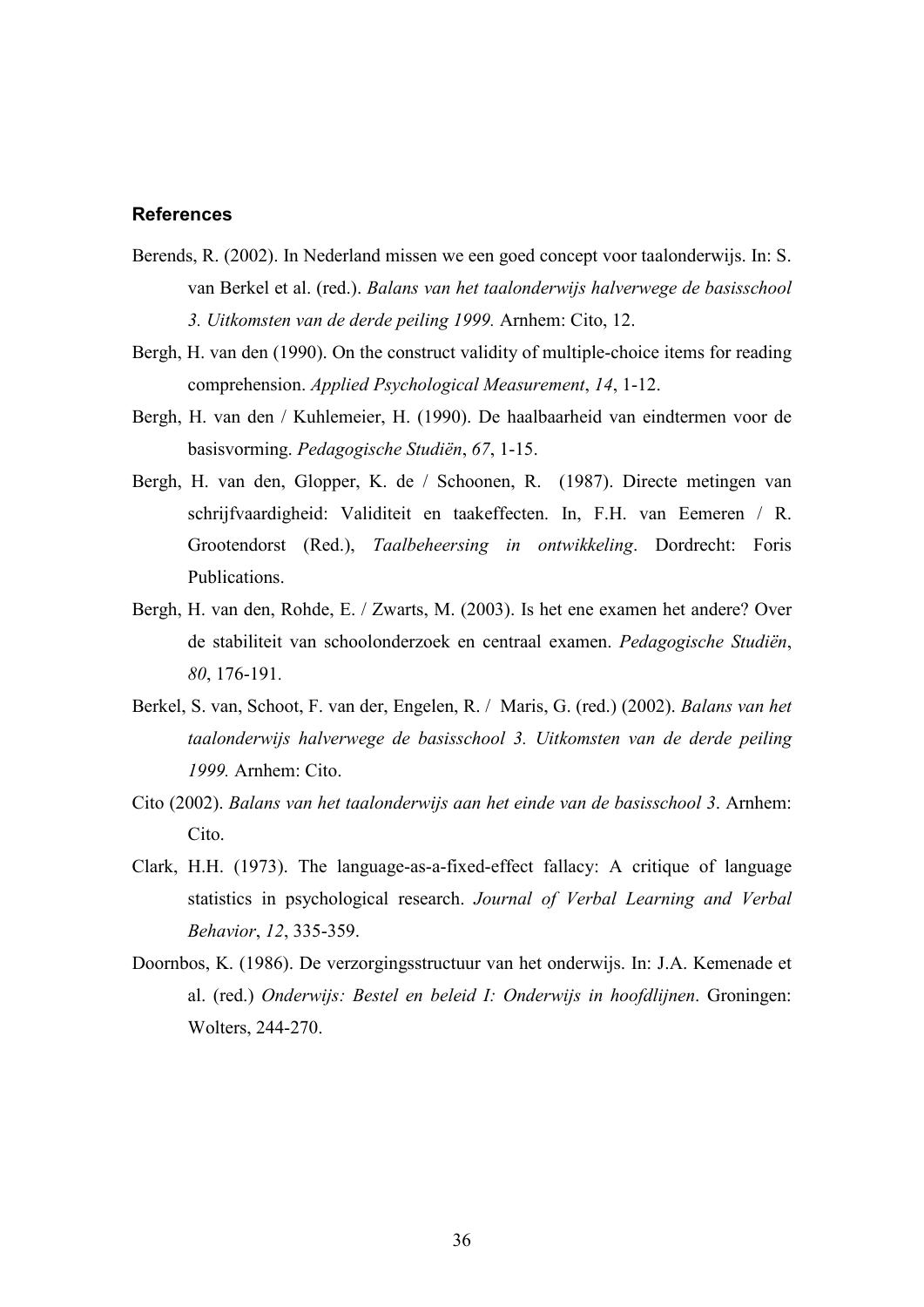# **References**

- Berends, R. (2002). In Nederland missen we een goed concept voor taalonderwijs. In: S. van Berkel et al. (red.). Balans van het taalonderwijs halverwege de basisschool 3. Uitkomsten van de derde peiling 1999. Arnhem: Cito, 12.
- Bergh, H. van den (1990). On the construct validity of multiple-choice items for reading comprehension. Applied Psychological Measurement, 14, 1-12.
- Bergh, H. van den / Kuhlemeier, H. (1990). De haalbaarheid van eindtermen voor de basisvorming. Pedagogische Studiën, 67, 1-15.
- Bergh, H. van den, Glopper, K. de / Schoonen, R. (1987). Directe metingen van schrijfvaardigheid: Validiteit en taakeffecten. In, F.H. van Eemeren / R. Grootendorst (Red.), Taalbeheersing in ontwikkeling. Dordrecht: Foris Publications.
- Bergh, H. van den, Rohde, E. / Zwarts, M. (2003). Is het ene examen het andere? Over de stabiliteit van schoolonderzoek en centraal examen. Pedagogische Studiën, 80, 176-191.
- Berkel, S. van, Schoot, F. van der, Engelen, R. / Maris, G. (red.) (2002). Balans van het taalonderwijs halverwege de basisschool 3. Uitkomsten van de derde peiling 1999. Arnhem: Cito.
- Cito (2002). Balans van het taalonderwijs aan het einde van de basisschool 3. Arnhem: Cito.
- Clark, H.H. (1973). The language-as-a-fixed-effect fallacy: A critique of language statistics in psychological research. Journal of Verbal Learning and Verbal Behavior, 12, 335-359.
- Doornbos, K. (1986). De verzorgingsstructuur van het onderwijs. In: J.A. Kemenade et al. (red.) Onderwijs: Bestel en beleid I: Onderwijs in hoofdlijnen. Groningen: Wolters, 244-270.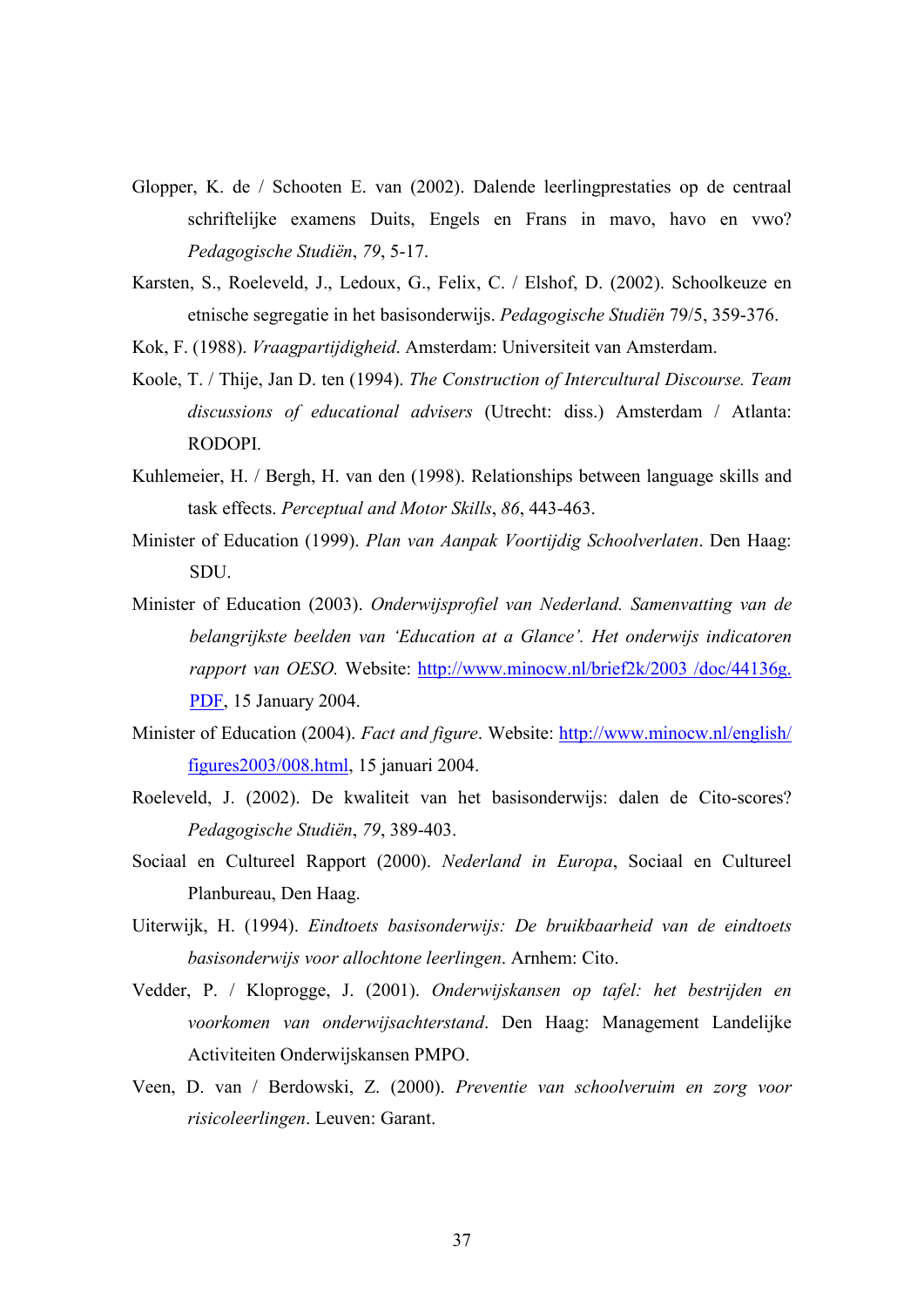- Glopper, K. de / Schooten E. van (2002). Dalende leerlingprestaties op de centraal schriftelijke examens Duits, Engels en Frans in mavo, havo en vwo? Pedagogische Studiën, 79, 5-17.
- Karsten, S., Roeleveld, J., Ledoux, G., Felix, C. / Elshof, D. (2002). Schoolkeuze en etnische segregatie in het basisonderwijs. Pedagogische Studiën 79/5, 359-376.
- Kok, F. (1988). Vraagpartijdigheid. Amsterdam: Universiteit van Amsterdam.
- Koole, T. / Thije, Jan D. ten (1994). The Construction of Intercultural Discourse. Team discussions of educational advisers (Utrecht: diss.) Amsterdam / Atlanta: RODOPI.
- Kuhlemeier, H. / Bergh, H. van den (1998). Relationships between language skills and task effects. Perceptual and Motor Skills, 86, 443-463.
- Minister of Education (1999). Plan van Aanpak Voortijdig Schoolverlaten. Den Haag: SDU.
- Minister of Education (2003). Onderwijsprofiel van Nederland. Samenvatting van de belangrijkste beelden van 'Education at a Glance'. Het onderwijs indicatoren rapport van OESO. Website: http://www.minocw.nl/brief2k/2003 /doc/44136g. PDF, 15 January 2004.
- Minister of Education (2004). Fact and figure. Website: http://www.minocw.nl/english/ figures2003/008.html, 15 januari 2004.
- Roeleveld, J. (2002). De kwaliteit van het basisonderwijs: dalen de Cito-scores? Pedagogische Studiën, 79, 389-403.
- Sociaal en Cultureel Rapport (2000). Nederland in Europa, Sociaal en Cultureel Planbureau, Den Haag.
- Uiterwijk, H. (1994). Eindtoets basisonderwijs: De bruikbaarheid van de eindtoets basisonderwijs voor allochtone leerlingen. Arnhem: Cito.
- Vedder, P. / Kloprogge, J. (2001). Onderwijskansen op tafel: het bestrijden en voorkomen van onderwijsachterstand. Den Haag: Management Landelijke Activiteiten Onderwijskansen PMPO.
- Veen, D. van / Berdowski, Z. (2000). Preventie van schoolveruim en zorg voor risicoleerlingen. Leuven: Garant.